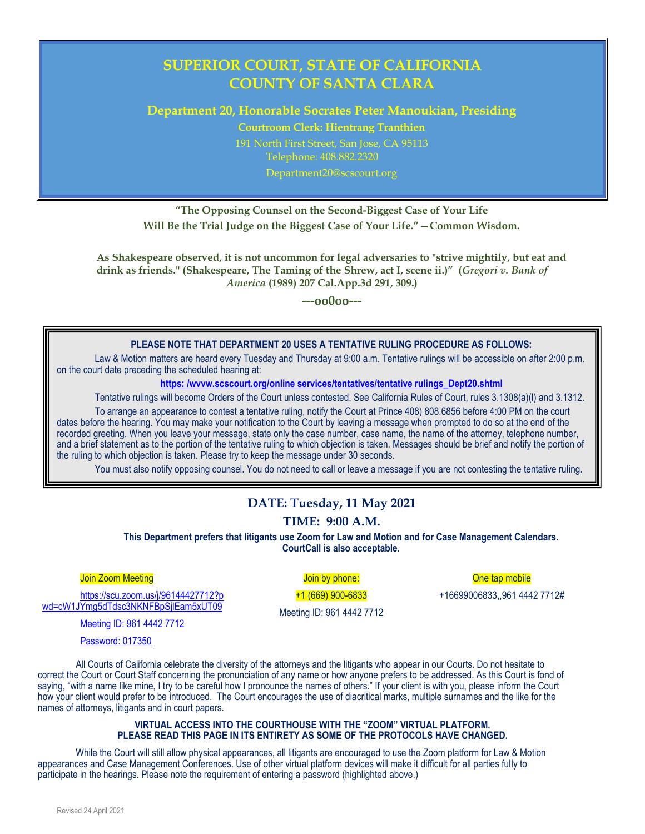# **SUPERIOR COURT, STATE OF CALIFORNIA COUNTY OF SANTA CLARA**

**Department 20, Honorable Socrates Peter Manoukian, Presiding**

**Courtroom Clerk: Hientrang Tranthien**

Telephone: 408.882.2320

Department20@scscourt.org

**"The Opposing Counsel on the Second-Biggest Case of Your Life Will Be the Trial Judge on the Biggest Case of Your Life."—Common Wisdom.**

**As Shakespeare observed, it is not uncommon for legal adversaries to "strive mightily, but eat and drink as friends." (Shakespeare, The Taming of the Shrew, act I, scene ii.)" (***Gregori v. Bank of America* **(1989) 207 Cal.App.3d 291, 309.)**

**---oo0oo---**

**PLEASE NOTE THAT DEPARTMENT 20 USES A TENTATIVE RULING PROCEDURE AS FOLLOWS:**

Law & Motion matters are heard every Tuesday and Thursday at 9:00 a.m. Tentative rulings will be accessible on after 2:00 p.m. on the court date preceding the scheduled hearing at:

**[https: /wvvw.scscourt.org/online services/tentatives/tentative rulings\\_Dept20.shtml](https://www.scscourt.org/online_services/tentatives/tentative_rulings_Dept20.shtml)**

Tentative rulings will become Orders of the Court unless contested. See California Rules of Court, rules 3.1308(a)(l) and 3.1312.

To arrange an appearance to contest a tentative ruling, notify the Court at Prince 408) 808.6856 before 4:00 PM on the court dates before the hearing. You may make your notification to the Court by leaving a message when prompted to do so at the end of the recorded greeting. When you leave your message, state only the case number, case name, the name of the attorney, telephone number, and a brief statement as to the portion of the tentative ruling to which objection is taken. Messages should be brief and notify the portion of the ruling to which objection is taken. Please try to keep the message under 30 seconds.

You must also notify opposing counsel. You do not need to call or leave a message if you are not contesting the tentative ruling.

# **DATE: Tuesday, 11 May 2021**

# <span id="page-0-0"></span>**TIME: 9:00 A.M.**

**This Department prefers that litigants use Zoom for Law and Motion and for Case Management Calendars. CourtCall is also acceptable.**

#### Join Zoom Meeting

Join by phone:

One tap mobile

+16699006833,,961 4442 7712#

[https://scu.zoom.us/j/96144427712?p](https://scu.zoom.us/j/96144427712?pwd=cW1JYmg5dTdsc3NKNFBpSjlEam5xUT09) wd=cW1JYmg5dTdsc3NKNFBpSilEam5xUT09

Meeting ID: 961 4442 7712

Password: 017350

All Courts of California celebrate the diversity of the attorneys and the litigants who appear in our Courts. Do not hesitate to correct the Court or Court Staff concerning the pronunciation of any name or how anyone prefers to be addressed. As this Court is fond of saying, "with a name like mine, I try to be careful how I pronounce the names of others." If your client is with you, please inform the Court how your client would prefer to be introduced. The Court encourages the use of diacritical marks, multiple surnames and the like for the names of attorneys, litigants and in court papers.

#### **VIRTUAL ACCESS INTO THE COURTHOUSE WITH THE "ZOOM" VIRTUAL PLATFORM. PLEASE READ THIS PAGE IN ITS ENTIRETY AS SOME OF THE PROTOCOLS HAVE CHANGED.**

While the Court will still allow physical appearances, all litigants are encouraged to use the Zoom platform for Law & Motion appearances and Case Management Conferences. Use of other virtual platform devices will make it difficult for all parties fully to participate in the hearings. Please note the requirement of entering a password (highlighted above.)

+1 (669) 900-6833

Meeting ID: 961 4442 7712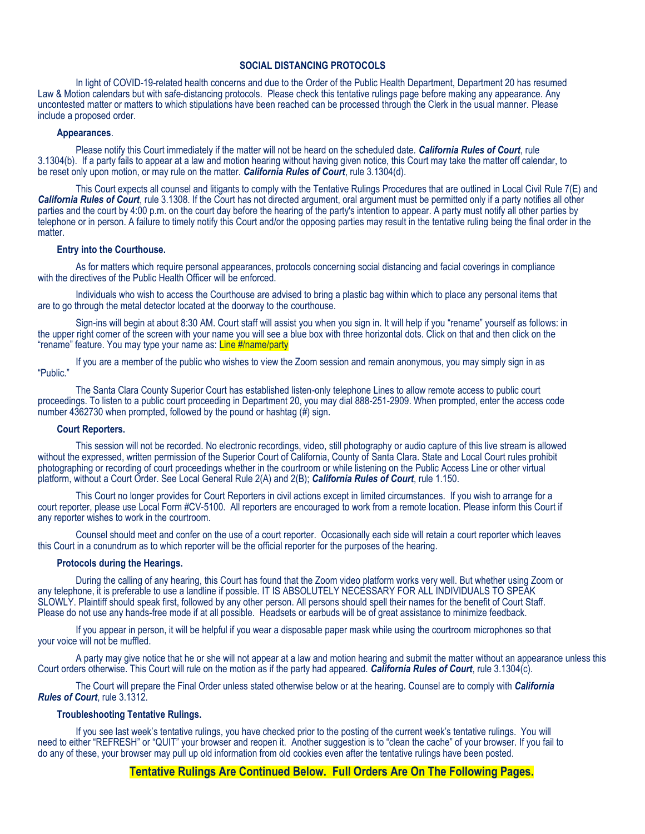#### **SOCIAL DISTANCING PROTOCOLS**

In light of COVID-19-related health concerns and due to the Order of the Public Health Department, Department 20 has resumed Law & Motion calendars but with safe-distancing protocols. Please check this tentative rulings page before making any appearance. Any uncontested matter or matters to which stipulations have been reached can be processed through the Clerk in the usual manner. Please include a proposed order.

#### **Appearances**.

Please notify this Court immediately if the matter will not be heard on the scheduled date. *California Rules of Court*, rule 3.1304(b). If a party fails to appear at a law and motion hearing without having given notice, this Court may take the matter off calendar, to be reset only upon motion, or may rule on the matter. *California Rules of Court*, rule 3.1304(d).

This Court expects all counsel and litigants to comply with the Tentative Rulings Procedures that are outlined in Local Civil Rule 7(E) and *California Rules of Court*, rule 3.1308. If the Court has not directed argument, oral argument must be permitted only if a party notifies all other parties and the court by 4:00 p.m. on the court day before the hearing of the party's intention to appear. A party must notify all other parties by telephone or in person. A failure to timely notify this Court and/or the opposing parties may result in the tentative ruling being the final order in the matter.

#### **Entry into the Courthouse.**

As for matters which require personal appearances, protocols concerning social distancing and facial coverings in compliance with the directives of the Public Health Officer will be enforced.

Individuals who wish to access the Courthouse are advised to bring a plastic bag within which to place any personal items that are to go through the metal detector located at the doorway to the courthouse.

Sign-ins will begin at about 8:30 AM. Court staff will assist you when you sign in. It will help if you "rename" yourself as follows: in the upper right corner of the screen with your name you will see a blue box with three horizontal dots. Click on that and then click on the "rename" feature. You may type your name as: Line #/name/party

If you are a member of the public who wishes to view the Zoom session and remain anonymous, you may simply sign in as "Public."

The Santa Clara County Superior Court has established listen-only telephone Lines to allow remote access to public court proceedings. To listen to a public court proceeding in Department 20, you may dial 888-251-2909. When prompted, enter the access code number 4362730 when prompted, followed by the pound or hashtag  $(\#)$  sign.

#### **Court Reporters.**

This session will not be recorded. No electronic recordings, video, still photography or audio capture of this live stream is allowed without the expressed, written permission of the Superior Court of California, County of Santa Clara. State and Local Court rules prohibit photographing or recording of court proceedings whether in the courtroom or while listening on the Public Access Line or other virtual platform, without a Court Order. See Local General Rule 2(A) and 2(B); *California Rules of Court*, rule 1.150.

This Court no longer provides for Court Reporters in civil actions except in limited circumstances. If you wish to arrange for a court reporter, please use Local Form #CV-5100. All reporters are encouraged to work from a remote location. Please inform this Court if any reporter wishes to work in the courtroom.

Counsel should meet and confer on the use of a court reporter. Occasionally each side will retain a court reporter which leaves this Court in a conundrum as to which reporter will be the official reporter for the purposes of the hearing.

#### **Protocols during the Hearings.**

During the calling of any hearing, this Court has found that the Zoom video platform works very well. But whether using Zoom or any telephone, it is preferable to use a landline if possible. IT IS ABSOLUTELY NECESSARY FOR ALL INDIVIDUALS TO SPEAK SLOWLY. Plaintiff should speak first, followed by any other person. All persons should spell their names for the benefit of Court Staff. Please do not use any hands-free mode if at all possible. Headsets or earbuds will be of great assistance to minimize feedback.

If you appear in person, it will be helpful if you wear a disposable paper mask while using the courtroom microphones so that your voice will not be muffled.

A party may give notice that he or she will not appear at a law and motion hearing and submit the matter without an appearance unless this Court orders otherwise. This Court will rule on the motion as if the party had appeared. *California Rules of Court*, rule 3.1304(c).

The Court will prepare the Final Order unless stated otherwise below or at the hearing. Counsel are to comply with *California Rules of Court*, rule 3.1312.

#### **Troubleshooting Tentative Rulings.**

If you see last week's tentative rulings, you have checked prior to the posting of the current week's tentative rulings. You will need to either "REFRESH" or "QUIT" your browser and reopen it. Another suggestion is to "clean the cache" of your browser. If you fail to do any of these, your browser may pull up old information from old cookies even after the tentative rulings have been posted.

**Tentative Rulings Are Continued Below. Full Orders Are On The Following Pages.**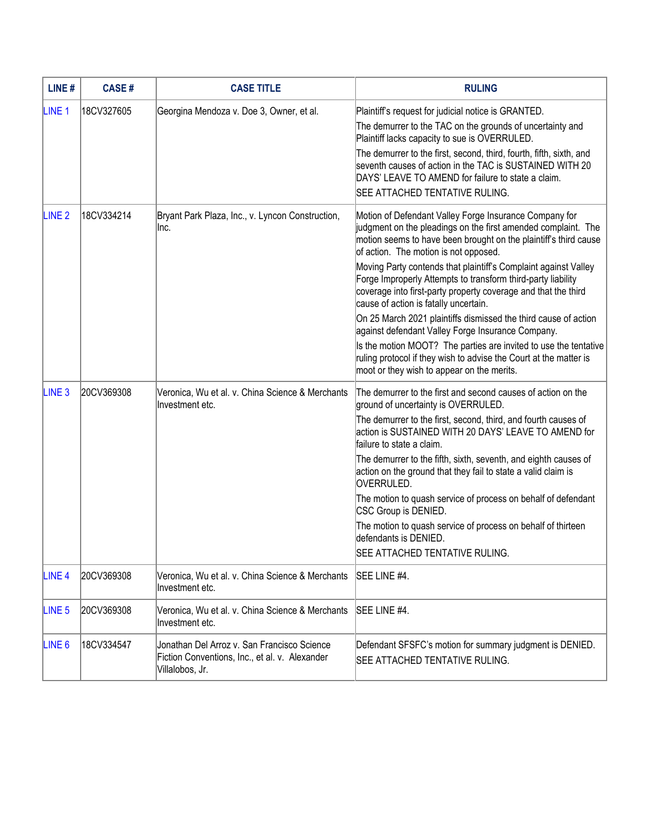| LINE#             | <b>CASE#</b> | <b>CASE TITLE</b>                                                                                                | <b>RULING</b>                                                                                                                                                                                                                                                                                                                                                                                                                                                                                                                                                                                                                                                                                                                                                                                     |
|-------------------|--------------|------------------------------------------------------------------------------------------------------------------|---------------------------------------------------------------------------------------------------------------------------------------------------------------------------------------------------------------------------------------------------------------------------------------------------------------------------------------------------------------------------------------------------------------------------------------------------------------------------------------------------------------------------------------------------------------------------------------------------------------------------------------------------------------------------------------------------------------------------------------------------------------------------------------------------|
| LINE <sub>1</sub> | 18CV327605   | Georgina Mendoza v. Doe 3, Owner, et al.                                                                         | Plaintiff's request for judicial notice is GRANTED.<br>The demurrer to the TAC on the grounds of uncertainty and<br>Plaintiff lacks capacity to sue is OVERRULED.<br>The demurrer to the first, second, third, fourth, fifth, sixth, and<br>seventh causes of action in the TAC is SUSTAINED WITH 20<br>DAYS' LEAVE TO AMEND for failure to state a claim.<br>SEE ATTACHED TENTATIVE RULING.                                                                                                                                                                                                                                                                                                                                                                                                      |
| LINE <sub>2</sub> | 18CV334214   | Bryant Park Plaza, Inc., v. Lyncon Construction,<br>Inc.                                                         | Motion of Defendant Valley Forge Insurance Company for<br>judgment on the pleadings on the first amended complaint. The<br>motion seems to have been brought on the plaintiff's third cause<br>of action. The motion is not opposed.<br>Moving Party contends that plaintiff's Complaint against Valley<br>Forge Improperly Attempts to transform third-party liability<br>coverage into first-party property coverage and that the third<br>cause of action is fatally uncertain.<br>On 25 March 2021 plaintiffs dismissed the third cause of action<br>against defendant Valley Forge Insurance Company.<br>Is the motion MOOT? The parties are invited to use the tentative<br>ruling protocol if they wish to advise the Court at the matter is<br>moot or they wish to appear on the merits. |
| LINE <sub>3</sub> | 20CV369308   | Veronica, Wu et al. v. China Science & Merchants<br>Investment etc.                                              | The demurrer to the first and second causes of action on the<br>ground of uncertainty is OVERRULED.<br>The demurrer to the first, second, third, and fourth causes of<br>action is SUSTAINED WITH 20 DAYS' LEAVE TO AMEND for<br>failure to state a claim.<br>The demurrer to the fifth, sixth, seventh, and eighth causes of<br>action on the ground that they fail to state a valid claim is<br>OVERRULED.<br>The motion to quash service of process on behalf of defendant<br>CSC Group is DENIED.<br>The motion to quash service of process on behalf of thirteen<br>defendants is DENIED.<br>SEE ATTACHED TENTATIVE RULING.                                                                                                                                                                  |
| LINE <sub>4</sub> | 20CV369308   | Veronica, Wu et al. v. China Science & Merchants<br>Investment etc.                                              | SEE LINE #4.                                                                                                                                                                                                                                                                                                                                                                                                                                                                                                                                                                                                                                                                                                                                                                                      |
| LINE <sub>5</sub> | 20CV369308   | Veronica, Wu et al. v. China Science & Merchants<br>Investment etc.                                              | SEE LINE #4.                                                                                                                                                                                                                                                                                                                                                                                                                                                                                                                                                                                                                                                                                                                                                                                      |
| LINE <sub>6</sub> | 18CV334547   | Jonathan Del Arroz v. San Francisco Science<br>Fiction Conventions, Inc., et al. v. Alexander<br>Villalobos, Jr. | Defendant SFSFC's motion for summary judgment is DENIED.<br>SEE ATTACHED TENTATIVE RULING.                                                                                                                                                                                                                                                                                                                                                                                                                                                                                                                                                                                                                                                                                                        |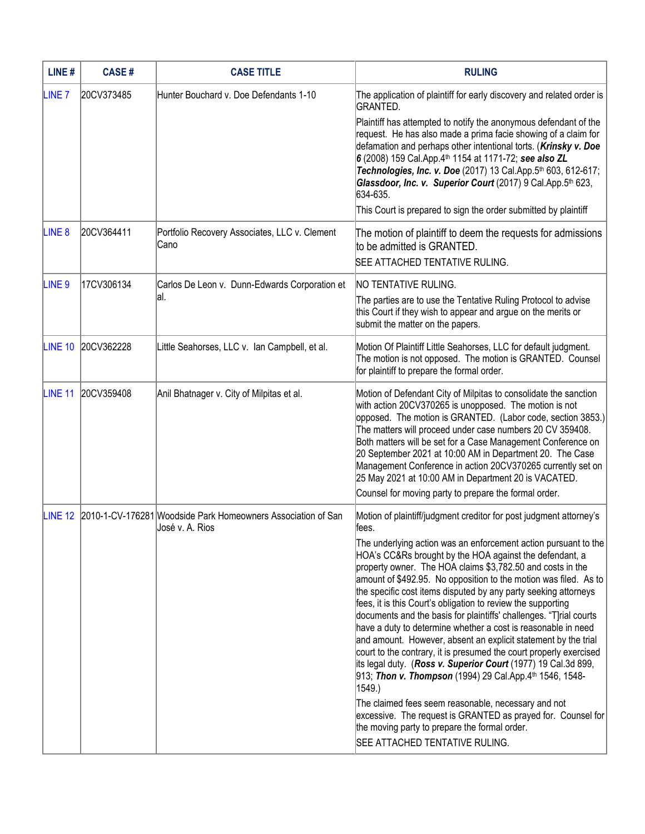| LINE#             | <b>CASE#</b>       | <b>CASE TITLE</b>                                                               | <b>RULING</b>                                                                                                                                                                                                                                                                                                                                                                                                                                                                                                                                                                                                                                                                                                                                                                                                                                                                                                                                                                                                                                                                                                              |
|-------------------|--------------------|---------------------------------------------------------------------------------|----------------------------------------------------------------------------------------------------------------------------------------------------------------------------------------------------------------------------------------------------------------------------------------------------------------------------------------------------------------------------------------------------------------------------------------------------------------------------------------------------------------------------------------------------------------------------------------------------------------------------------------------------------------------------------------------------------------------------------------------------------------------------------------------------------------------------------------------------------------------------------------------------------------------------------------------------------------------------------------------------------------------------------------------------------------------------------------------------------------------------|
| LINE <sub>7</sub> | 20CV373485         | Hunter Bouchard v. Doe Defendants 1-10                                          | The application of plaintiff for early discovery and related order is<br><b>GRANTED.</b><br>Plaintiff has attempted to notify the anonymous defendant of the<br>request. He has also made a prima facie showing of a claim for<br>defamation and perhaps other intentional torts. (Krinsky v. Doe<br>6 (2008) 159 Cal.App.4 <sup>th</sup> 1154 at 1171-72; see also ZL<br>Technologies, Inc. v. Doe (2017) 13 Cal.App.5th 603, 612-617;<br>Glassdoor, Inc. v. Superior Court (2017) 9 Cal.App.5th 623,<br>634-635.<br>This Court is prepared to sign the order submitted by plaintiff                                                                                                                                                                                                                                                                                                                                                                                                                                                                                                                                      |
| LINE <sub>8</sub> | 20CV364411         | Portfolio Recovery Associates, LLC v. Clement<br>lCano                          | The motion of plaintiff to deem the requests for admissions<br>to be admitted is GRANTED.<br>SEE ATTACHED TENTATIVE RULING.                                                                                                                                                                                                                                                                                                                                                                                                                                                                                                                                                                                                                                                                                                                                                                                                                                                                                                                                                                                                |
| LINE <sub>9</sub> | 17CV306134         | Carlos De Leon v. Dunn-Edwards Corporation et<br>lal.                           | NO TENTATIVE RULING.<br>The parties are to use the Tentative Ruling Protocol to advise<br>this Court if they wish to appear and argue on the merits or<br>submit the matter on the papers.                                                                                                                                                                                                                                                                                                                                                                                                                                                                                                                                                                                                                                                                                                                                                                                                                                                                                                                                 |
|                   | LINE 10 20CV362228 | Little Seahorses, LLC v. lan Campbell, et al.                                   | Motion Of Plaintiff Little Seahorses, LLC for default judgment.<br>The motion is not opposed. The motion is GRANTED. Counsel<br>for plaintiff to prepare the formal order.                                                                                                                                                                                                                                                                                                                                                                                                                                                                                                                                                                                                                                                                                                                                                                                                                                                                                                                                                 |
| $LINE$ 11         | 20CV359408         | Anil Bhatnager v. City of Milpitas et al.                                       | Motion of Defendant City of Milpitas to consolidate the sanction<br>with action 20CV370265 is unopposed. The motion is not<br>opposed. The motion is GRANTED. (Labor code, section 3853.)<br>The matters will proceed under case numbers 20 CV 359408.<br>Both matters will be set for a Case Management Conference on<br>20 September 2021 at 10:00 AM in Department 20. The Case<br>Management Conference in action 20CV370265 currently set on<br>25 May 2021 at 10:00 AM in Department 20 is VACATED.<br>Counsel for moving party to prepare the formal order.                                                                                                                                                                                                                                                                                                                                                                                                                                                                                                                                                         |
| LINE 12           |                    | 2010-1-CV-176281 Woodside Park Homeowners Association of San<br>José v. A. Rios | Motion of plaintiff/judgment creditor for post judgment attorney's<br>∣fees.<br>The underlying action was an enforcement action pursuant to the<br>HOA's CC&Rs brought by the HOA against the defendant, a<br>property owner. The HOA claims \$3,782.50 and costs in the<br>amount of \$492.95. No opposition to the motion was filed. As to<br>the specific cost items disputed by any party seeking attorneys<br>fees, it is this Court's obligation to review the supporting<br>documents and the basis for plaintiffs' challenges. "T]rial courts<br>have a duty to determine whether a cost is reasonable in need<br>and amount. However, absent an explicit statement by the trial<br>court to the contrary, it is presumed the court properly exercised<br>its legal duty. (Ross v. Superior Court (1977) 19 Cal.3d 899,<br>913; Thon v. Thompson (1994) 29 Cal.App.4 <sup>th</sup> 1546, 1548-<br>1549.)<br>The claimed fees seem reasonable, necessary and not<br>excessive. The request is GRANTED as prayed for. Counsel for<br>the moving party to prepare the formal order.<br>SEE ATTACHED TENTATIVE RULING. |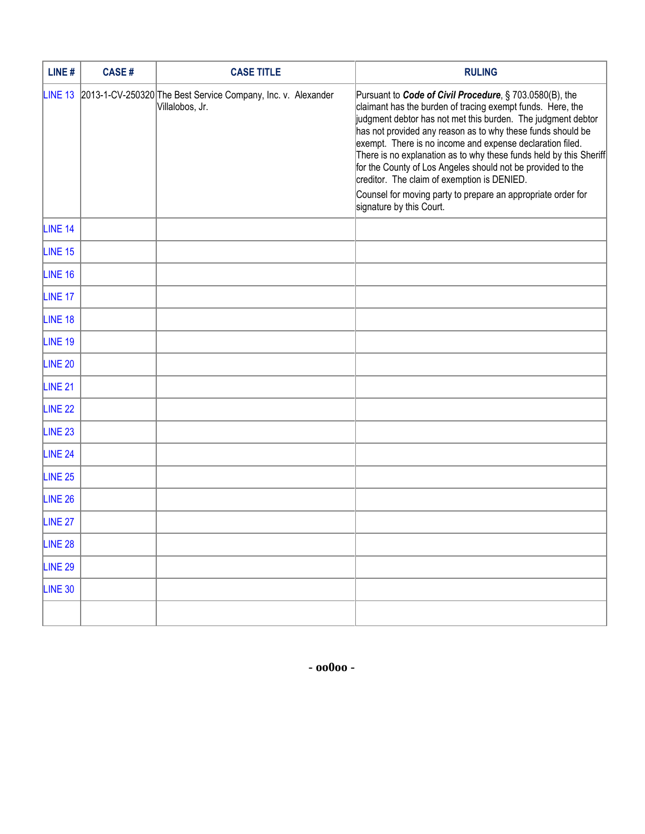| LINE#              | <b>CASE#</b> | <b>CASE TITLE</b>                                                               | <b>RULING</b>                                                                                                                                                                                                                                                                                                                                                                                                                                                                                                                                                                                     |
|--------------------|--------------|---------------------------------------------------------------------------------|---------------------------------------------------------------------------------------------------------------------------------------------------------------------------------------------------------------------------------------------------------------------------------------------------------------------------------------------------------------------------------------------------------------------------------------------------------------------------------------------------------------------------------------------------------------------------------------------------|
| LINE 13            |              | 2013-1-CV-250320 The Best Service Company, Inc. v. Alexander<br>Villalobos, Jr. | Pursuant to Code of Civil Procedure, § 703.0580(B), the<br>claimant has the burden of tracing exempt funds. Here, the<br>judgment debtor has not met this burden. The judgment debtor<br>has not provided any reason as to why these funds should be<br>exempt. There is no income and expense declaration filed.<br>There is no explanation as to why these funds held by this Sheriff<br>for the County of Los Angeles should not be provided to the<br>creditor. The claim of exemption is DENIED.<br>Counsel for moving party to prepare an appropriate order for<br>signature by this Court. |
| LINE 14            |              |                                                                                 |                                                                                                                                                                                                                                                                                                                                                                                                                                                                                                                                                                                                   |
| LINE <sub>15</sub> |              |                                                                                 |                                                                                                                                                                                                                                                                                                                                                                                                                                                                                                                                                                                                   |
| LINE 16            |              |                                                                                 |                                                                                                                                                                                                                                                                                                                                                                                                                                                                                                                                                                                                   |
| LINE 17            |              |                                                                                 |                                                                                                                                                                                                                                                                                                                                                                                                                                                                                                                                                                                                   |
| LINE 18            |              |                                                                                 |                                                                                                                                                                                                                                                                                                                                                                                                                                                                                                                                                                                                   |
| LINE 19            |              |                                                                                 |                                                                                                                                                                                                                                                                                                                                                                                                                                                                                                                                                                                                   |
| <b>LINE 20</b>     |              |                                                                                 |                                                                                                                                                                                                                                                                                                                                                                                                                                                                                                                                                                                                   |
| LINE <sub>21</sub> |              |                                                                                 |                                                                                                                                                                                                                                                                                                                                                                                                                                                                                                                                                                                                   |
| LINE <sub>22</sub> |              |                                                                                 |                                                                                                                                                                                                                                                                                                                                                                                                                                                                                                                                                                                                   |
| LINE <sub>23</sub> |              |                                                                                 |                                                                                                                                                                                                                                                                                                                                                                                                                                                                                                                                                                                                   |
| LINE <sub>24</sub> |              |                                                                                 |                                                                                                                                                                                                                                                                                                                                                                                                                                                                                                                                                                                                   |
| LINE 25            |              |                                                                                 |                                                                                                                                                                                                                                                                                                                                                                                                                                                                                                                                                                                                   |
| <b>LINE 26</b>     |              |                                                                                 |                                                                                                                                                                                                                                                                                                                                                                                                                                                                                                                                                                                                   |
| LINE 27            |              |                                                                                 |                                                                                                                                                                                                                                                                                                                                                                                                                                                                                                                                                                                                   |
| LINE <sub>28</sub> |              |                                                                                 |                                                                                                                                                                                                                                                                                                                                                                                                                                                                                                                                                                                                   |
| LINE <sub>29</sub> |              |                                                                                 |                                                                                                                                                                                                                                                                                                                                                                                                                                                                                                                                                                                                   |
| LINE 30            |              |                                                                                 |                                                                                                                                                                                                                                                                                                                                                                                                                                                                                                                                                                                                   |
|                    |              |                                                                                 |                                                                                                                                                                                                                                                                                                                                                                                                                                                                                                                                                                                                   |

**- [oo0oo -](#page-0-0)**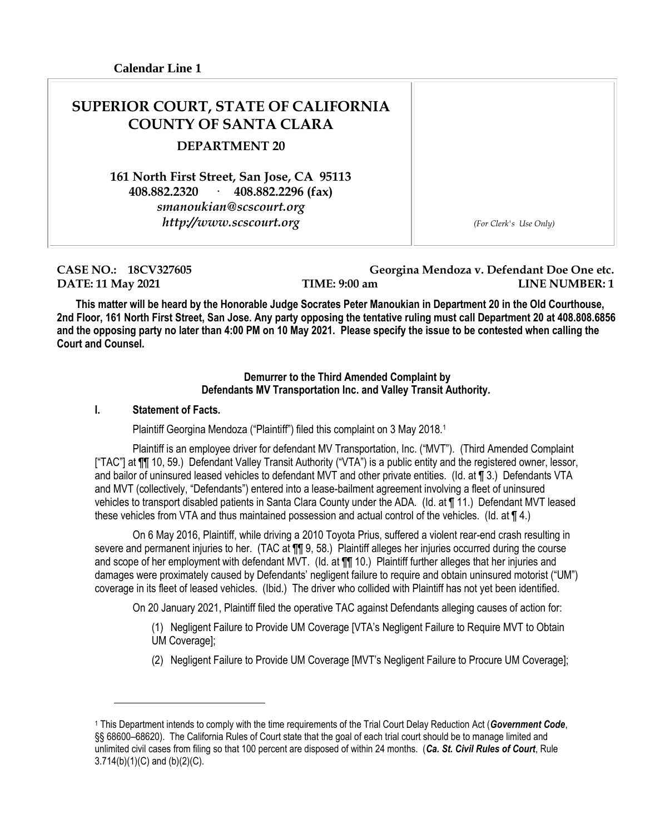# <span id="page-5-0"></span>**SUPERIOR COURT, STATE OF CALIFORNIA COUNTY OF SANTA CLARA**

**DEPARTMENT 20**

**161 North First Street, San Jose, CA 95113 408.882.2320 · 408.882.2296 (fax)** *smanoukian@scscourt.org http://www.scscourt.org (For Clerk's Use Only)*

**CASE NO.: 18CV327605 Georgina Mendoza v. Defendant Doe One etc. DATE: 11 May 2021 TIME: 9:00 am LINE NUMBER: 1** 

 $\overline{a}$ 

**This matter will be heard by the Honorable Judge Socrates Peter Manoukian in Department 20 in the Old Courthouse, 2nd Floor, 161 North First Street, San Jose. Any party opposing the tentative ruling must call Department 20 at 408.808.6856 and the opposing party no later than 4:00 PM on 10 May 2021. Please specify the issue to be contested when calling the Court and Counsel.**

#### **Demurrer to the Third Amended Complaint by Defendants MV Transportation Inc. and Valley Transit Authority.**

#### **I. Statement of Facts.**

Plaintiff Georgina Mendoza ("Plaintiff") filed this complaint on 3 May 2018.<sup>1</sup>

Plaintiff is an employee driver for defendant MV Transportation, Inc. ("MVT"). (Third Amended Complaint ["TAC"] at  $\Pi$  10, 59.) Defendant Valley Transit Authority ("VTA") is a public entity and the registered owner, lessor, and bailor of uninsured leased vehicles to defendant MVT and other private entities. (Id. at ¶ 3.) Defendants VTA and MVT (collectively, "Defendants") entered into a lease-bailment agreement involving a fleet of uninsured vehicles to transport disabled patients in Santa Clara County under the ADA. (Id. at ¶ 11.) Defendant MVT leased these vehicles from VTA and thus maintained possession and actual control of the vehicles. (Id. at ¶ 4.)

On 6 May 2016, Plaintiff, while driving a 2010 Toyota Prius, suffered a violent rear-end crash resulting in severe and permanent injuries to her. (TAC at  $\P\P$  9, 58.) Plaintiff alleges her injuries occurred during the course and scope of her employment with defendant MVT. (Id. at  $\P\P$  10.) Plaintiff further alleges that her injuries and damages were proximately caused by Defendants' negligent failure to require and obtain uninsured motorist ("UM") coverage in its fleet of leased vehicles. (Ibid.) The driver who collided with Plaintiff has not yet been identified.

On 20 January 2021, Plaintiff filed the operative TAC against Defendants alleging causes of action for:

(1) Negligent Failure to Provide UM Coverage [VTA's Negligent Failure to Require MVT to Obtain UM Coverage];

(2) Negligent Failure to Provide UM Coverage [MVT's Negligent Failure to Procure UM Coverage];

<sup>1</sup> This Department intends to comply with the time requirements of the Trial Court Delay Reduction Act (*Government Code*, §§ 68600–68620). The California Rules of Court state that the goal of each trial court should be to manage limited and unlimited civil cases from filing so that 100 percent are disposed of within 24 months. (*Ca. St. Civil Rules of Court*, Rule 3.714(b)(1)(C) and (b)(2)(C).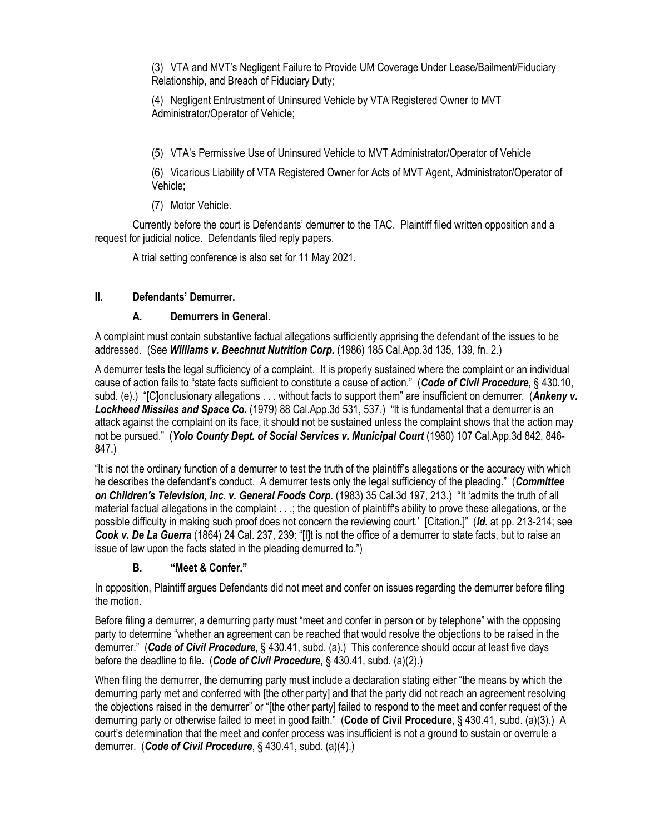(3) VTA and MVT's Negligent Failure to Provide UM Coverage Under Lease/Bailment/Fiduciary Relationship, and Breach of Fiduciary Duty;

(4) Negligent Entrustment of Uninsured Vehicle by VTA Registered Owner to MVT Administrator/Operator of Vehicle;

(5) VTA's Permissive Use of Uninsured Vehicle to MVT Administrator/Operator of Vehicle

(6) Vicarious Liability of VTA Registered Owner for Acts of MVT Agent, Administrator/Operator of Vehicle;

(7) Motor Vehicle.

Currently before the court is Defendants' demurrer to the TAC. Plaintiff filed written opposition and a request for judicial notice. Defendants filed reply papers.

A trial setting conference is also set for 11 May 2021.

# **II. Defendants' Demurrer.**

# **A. Demurrers in General.**

A complaint must contain substantive factual allegations sufficiently apprising the defendant of the issues to be addressed. (See *Williams v. Beechnut Nutrition Corp.* (1986) 185 Cal.App.3d 135, 139, fn. 2.)

A demurrer tests the legal sufficiency of a complaint. It is properly sustained where the complaint or an individual cause of action fails to "state facts sufficient to constitute a cause of action." (*Code of Civil Procedure*, § 430.10, subd. (e).) "[C]onclusionary allegations . . . without facts to support them" are insufficient on demurrer. (*Ankeny v. Lockheed Missiles and Space Co.* (1979) 88 Cal.App.3d 531, 537.) "It is fundamental that a demurrer is an attack against the complaint on its face, it should not be sustained unless the complaint shows that the action may not be pursued." (*Yolo County Dept. of Social Services v. Municipal Court* (1980) 107 Cal.App.3d 842, 846- 847.)

"It is not the ordinary function of a demurrer to test the truth of the plaintiff's allegations or the accuracy with which he describes the defendant's conduct. A demurrer tests only the legal sufficiency of the pleading." (*Committee on Children's Television, Inc. v. General Foods Corp.* (1983) 35 Cal.3d 197, 213.) "It 'admits the truth of all material factual allegations in the complaint . . .; the question of plaintiff's ability to prove these allegations, or the possible difficulty in making such proof does not concern the reviewing court.' [Citation.]" (*Id.* at pp. 213-214; see *Cook v. De La Guerra* (1864) 24 Cal. 237, 239: "[I]t is not the office of a demurrer to state facts, but to raise an issue of law upon the facts stated in the pleading demurred to.")

# **B. "Meet & Confer."**

In opposition, Plaintiff argues Defendants did not meet and confer on issues regarding the demurrer before filing the motion.

Before filing a demurrer, a demurring party must "meet and confer in person or by telephone" with the opposing party to determine "whether an agreement can be reached that would resolve the objections to be raised in the demurrer." (*Code of Civil Procedure*, § 430.41, subd. (a).) This conference should occur at least five days before the deadline to file. (*Code of Civil Procedure*, § 430.41, subd. (a)(2).)

When filing the demurrer, the demurring party must include a declaration stating either "the means by which the demurring party met and conferred with [the other party] and that the party did not reach an agreement resolving the objections raised in the demurrer" or "[the other party] failed to respond to the meet and confer request of the demurring party or otherwise failed to meet in good faith." (**Code of Civil Procedure**, § 430.41, subd. (a)(3).) A court's determination that the meet and confer process was insufficient is not a ground to sustain or overrule a demurrer. (*Code of Civil Procedure*, § 430.41, subd. (a)(4).)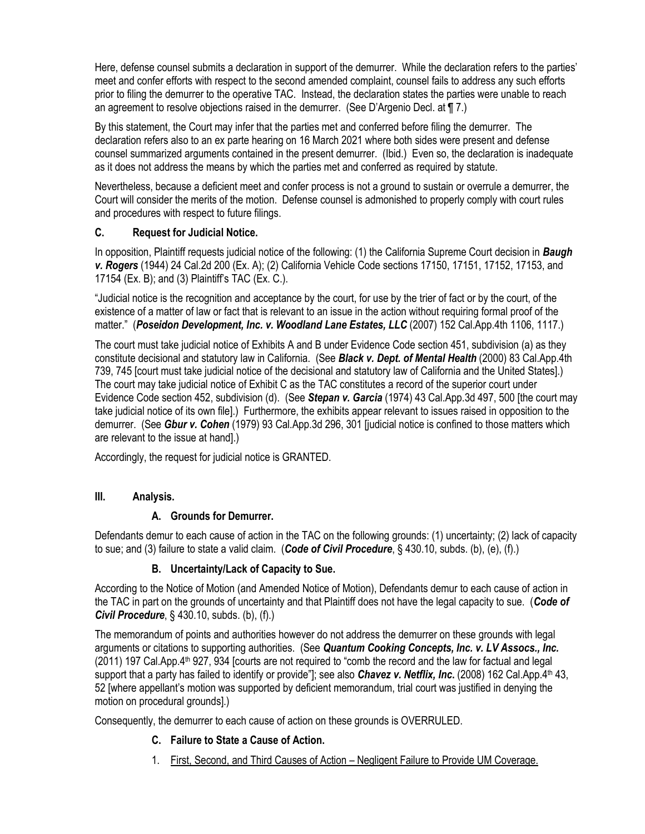Here, defense counsel submits a declaration in support of the demurrer. While the declaration refers to the parties' meet and confer efforts with respect to the second amended complaint, counsel fails to address any such efforts prior to filing the demurrer to the operative TAC. Instead, the declaration states the parties were unable to reach an agreement to resolve objections raised in the demurrer. (See D'Argenio Decl. at ¶ 7.)

By this statement, the Court may infer that the parties met and conferred before filing the demurrer. The declaration refers also to an ex parte hearing on 16 March 2021 where both sides were present and defense counsel summarized arguments contained in the present demurrer. (Ibid.) Even so, the declaration is inadequate as it does not address the means by which the parties met and conferred as required by statute.

Nevertheless, because a deficient meet and confer process is not a ground to sustain or overrule a demurrer, the Court will consider the merits of the motion. Defense counsel is admonished to properly comply with court rules and procedures with respect to future filings.

# **C. Request for Judicial Notice.**

In opposition, Plaintiff requests judicial notice of the following: (1) the California Supreme Court decision in *Baugh v. Rogers* (1944) 24 Cal.2d 200 (Ex. A); (2) California Vehicle Code sections 17150, 17151, 17152, 17153, and 17154 (Ex. B); and (3) Plaintiff's TAC (Ex. C.).

"Judicial notice is the recognition and acceptance by the court, for use by the trier of fact or by the court, of the existence of a matter of law or fact that is relevant to an issue in the action without requiring formal proof of the matter." (*Poseidon Development, Inc. v. Woodland Lane Estates, LLC* (2007) 152 Cal.App.4th 1106, 1117.)

The court must take judicial notice of Exhibits A and B under Evidence Code section 451, subdivision (a) as they constitute decisional and statutory law in California. (See *Black v. Dept. of Mental Health* (2000) 83 Cal.App.4th 739, 745 [court must take judicial notice of the decisional and statutory law of California and the United States].) The court may take judicial notice of Exhibit C as the TAC constitutes a record of the superior court under Evidence Code section 452, subdivision (d). (See *Stepan v. Garcia* (1974) 43 Cal.App.3d 497, 500 [the court may take judicial notice of its own file].) Furthermore, the exhibits appear relevant to issues raised in opposition to the demurrer. (See *Gbur v. Cohen* (1979) 93 Cal.App.3d 296, 301 [judicial notice is confined to those matters which are relevant to the issue at hand].)

Accordingly, the request for judicial notice is GRANTED.

# **III. Analysis.**

# **A. Grounds for Demurrer.**

Defendants demur to each cause of action in the TAC on the following grounds: (1) uncertainty; (2) lack of capacity to sue; and (3) failure to state a valid claim. (*Code of Civil Procedure*, § 430.10, subds. (b), (e), (f).)

# **B. Uncertainty/Lack of Capacity to Sue.**

According to the Notice of Motion (and Amended Notice of Motion), Defendants demur to each cause of action in the TAC in part on the grounds of uncertainty and that Plaintiff does not have the legal capacity to sue. (*Code of Civil Procedure*, § 430.10, subds. (b), (f).)

The memorandum of points and authorities however do not address the demurrer on these grounds with legal arguments or citations to supporting authorities. (See *Quantum Cooking Concepts, Inc. v. LV Assocs., Inc.* (2011) 197 Cal.App.4th 927, 934 [courts are not required to "comb the record and the law for factual and legal support that a party has failed to identify or provide"]; see also *Chavez v. Netflix, Inc***.** (2008) 162 Cal.App.4th 43, 52 [where appellant's motion was supported by deficient memorandum, trial court was justified in denying the motion on procedural grounds].)

Consequently, the demurrer to each cause of action on these grounds is OVERRULED.

# **C. Failure to State a Cause of Action.**

1. First, Second, and Third Causes of Action – Negligent Failure to Provide UM Coverage.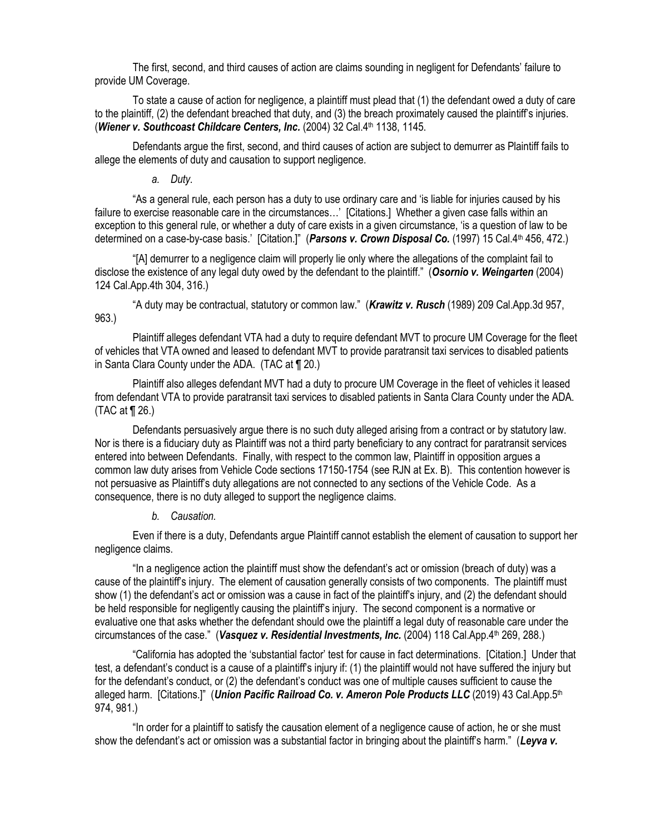The first, second, and third causes of action are claims sounding in negligent for Defendants' failure to provide UM Coverage.

To state a cause of action for negligence, a plaintiff must plead that (1) the defendant owed a duty of care to the plaintiff, (2) the defendant breached that duty, and (3) the breach proximately caused the plaintiff's injuries. (Wiener v. Southcoast Childcare Centers, Inc. (2004) 32 Cal.4<sup>th</sup> 1138, 1145.

Defendants argue the first, second, and third causes of action are subject to demurrer as Plaintiff fails to allege the elements of duty and causation to support negligence.

*a. Duty.*

"As a general rule, each person has a duty to use ordinary care and 'is liable for injuries caused by his failure to exercise reasonable care in the circumstances...' [Citations.] Whether a given case falls within an exception to this general rule, or whether a duty of care exists in a given circumstance, 'is a question of law to be determined on a case-by-case basis.' [Citation.]" (Parsons v. Crown Disposal Co. (1997) 15 Cal.4<sup>th</sup> 456, 472.)

"[A] demurrer to a negligence claim will properly lie only where the allegations of the complaint fail to disclose the existence of any legal duty owed by the defendant to the plaintiff." (*Osornio v. Weingarten* (2004) 124 Cal.App.4th 304, 316.)

"A duty may be contractual, statutory or common law." (*Krawitz v. Rusch* (1989) 209 Cal.App.3d 957, 963.)

Plaintiff alleges defendant VTA had a duty to require defendant MVT to procure UM Coverage for the fleet of vehicles that VTA owned and leased to defendant MVT to provide paratransit taxi services to disabled patients in Santa Clara County under the ADA. (TAC at ¶ 20.)

Plaintiff also alleges defendant MVT had a duty to procure UM Coverage in the fleet of vehicles it leased from defendant VTA to provide paratransit taxi services to disabled patients in Santa Clara County under the ADA. (TAC at ¶ 26.)

Defendants persuasively argue there is no such duty alleged arising from a contract or by statutory law. Nor is there is a fiduciary duty as Plaintiff was not a third party beneficiary to any contract for paratransit services entered into between Defendants. Finally, with respect to the common law, Plaintiff in opposition argues a common law duty arises from Vehicle Code sections 17150-1754 (see RJN at Ex. B). This contention however is not persuasive as Plaintiff's duty allegations are not connected to any sections of the Vehicle Code. As a consequence, there is no duty alleged to support the negligence claims.

#### *b. Causation.*

Even if there is a duty, Defendants argue Plaintiff cannot establish the element of causation to support her negligence claims.

"In a negligence action the plaintiff must show the defendant's act or omission (breach of duty) was a cause of the plaintiff's injury. The element of causation generally consists of two components. The plaintiff must show (1) the defendant's act or omission was a cause in fact of the plaintiff's injury, and (2) the defendant should be held responsible for negligently causing the plaintiff's injury. The second component is a normative or evaluative one that asks whether the defendant should owe the plaintiff a legal duty of reasonable care under the circumstances of the case." (*Vasquez v. Residential Investments, Inc.* (2004) 118 Cal.App.4th 269, 288.)

"California has adopted the 'substantial factor' test for cause in fact determinations. [Citation.] Under that test, a defendant's conduct is a cause of a plaintiff's injury if: (1) the plaintiff would not have suffered the injury but for the defendant's conduct, or (2) the defendant's conduct was one of multiple causes sufficient to cause the alleged harm. [Citations.]" (*Union Pacific Railroad Co. v. Ameron Pole Products LLC* (2019) 43 Cal.App.5<sup>th</sup> 974, 981.)

"In order for a plaintiff to satisfy the causation element of a negligence cause of action, he or she must show the defendant's act or omission was a substantial factor in bringing about the plaintiff's harm." (Leyva v.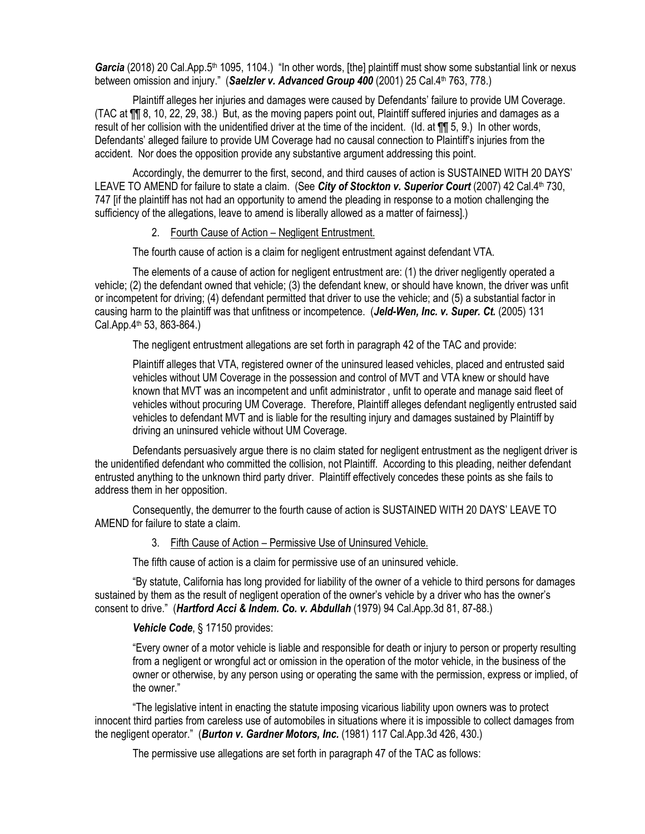Garcia (2018) 20 Cal.App.5<sup>th</sup> 1095, 1104.) "In other words, [the] plaintiff must show some substantial link or nexus between omission and injury." (Saelzler v. Advanced Group 400 (2001) 25 Cal.4th 763, 778.)

Plaintiff alleges her injuries and damages were caused by Defendants' failure to provide UM Coverage. (TAC at ¶¶ 8, 10, 22, 29, 38.) But, as the moving papers point out, Plaintiff suffered injuries and damages as a result of her collision with the unidentified driver at the time of the incident. (Id. at  $\Pi$ , 5, 9.) In other words, Defendants' alleged failure to provide UM Coverage had no causal connection to Plaintiff's injuries from the accident. Nor does the opposition provide any substantive argument addressing this point.

Accordingly, the demurrer to the first, second, and third causes of action is SUSTAINED WITH 20 DAYS' LEAVE TO AMEND for failure to state a claim. (See *City of Stockton v. Superior Court* (2007) 42 Cal.4<sup>th</sup> 730, 747 [if the plaintiff has not had an opportunity to amend the pleading in response to a motion challenging the sufficiency of the allegations, leave to amend is liberally allowed as a matter of fairness].)

## 2. Fourth Cause of Action – Negligent Entrustment.

The fourth cause of action is a claim for negligent entrustment against defendant VTA.

The elements of a cause of action for negligent entrustment are: (1) the driver negligently operated a vehicle; (2) the defendant owned that vehicle; (3) the defendant knew, or should have known, the driver was unfit or incompetent for driving; (4) defendant permitted that driver to use the vehicle; and (5) a substantial factor in causing harm to the plaintiff was that unfitness or incompetence. (*Jeld-Wen, Inc. v. Super. Ct.* (2005) 131 Cal.App.4th 53, 863-864.)

The negligent entrustment allegations are set forth in paragraph 42 of the TAC and provide:

Plaintiff alleges that VTA, registered owner of the uninsured leased vehicles, placed and entrusted said vehicles without UM Coverage in the possession and control of MVT and VTA knew or should have known that MVT was an incompetent and unfit administrator , unfit to operate and manage said fleet of vehicles without procuring UM Coverage. Therefore, Plaintiff alleges defendant negligently entrusted said vehicles to defendant MVT and is liable for the resulting injury and damages sustained by Plaintiff by driving an uninsured vehicle without UM Coverage.

Defendants persuasively argue there is no claim stated for negligent entrustment as the negligent driver is the unidentified defendant who committed the collision, not Plaintiff. According to this pleading, neither defendant entrusted anything to the unknown third party driver. Plaintiff effectively concedes these points as she fails to address them in her opposition.

Consequently, the demurrer to the fourth cause of action is SUSTAINED WITH 20 DAYS' LEAVE TO AMEND for failure to state a claim.

3. Fifth Cause of Action – Permissive Use of Uninsured Vehicle.

The fifth cause of action is a claim for permissive use of an uninsured vehicle.

"By statute, California has long provided for liability of the owner of a vehicle to third persons for damages sustained by them as the result of negligent operation of the owner's vehicle by a driver who has the owner's consent to drive." (*Hartford Acci & Indem. Co. v. Abdullah* (1979) 94 Cal.App.3d 81, 87-88.)

#### *Vehicle Code*, § 17150 provides:

"Every owner of a motor vehicle is liable and responsible for death or injury to person or property resulting from a negligent or wrongful act or omission in the operation of the motor vehicle, in the business of the owner or otherwise, by any person using or operating the same with the permission, express or implied, of the owner."

"The legislative intent in enacting the statute imposing vicarious liability upon owners was to protect innocent third parties from careless use of automobiles in situations where it is impossible to collect damages from the negligent operator." (*Burton v. Gardner Motors, Inc.* (1981) 117 Cal.App.3d 426, 430.)

The permissive use allegations are set forth in paragraph 47 of the TAC as follows: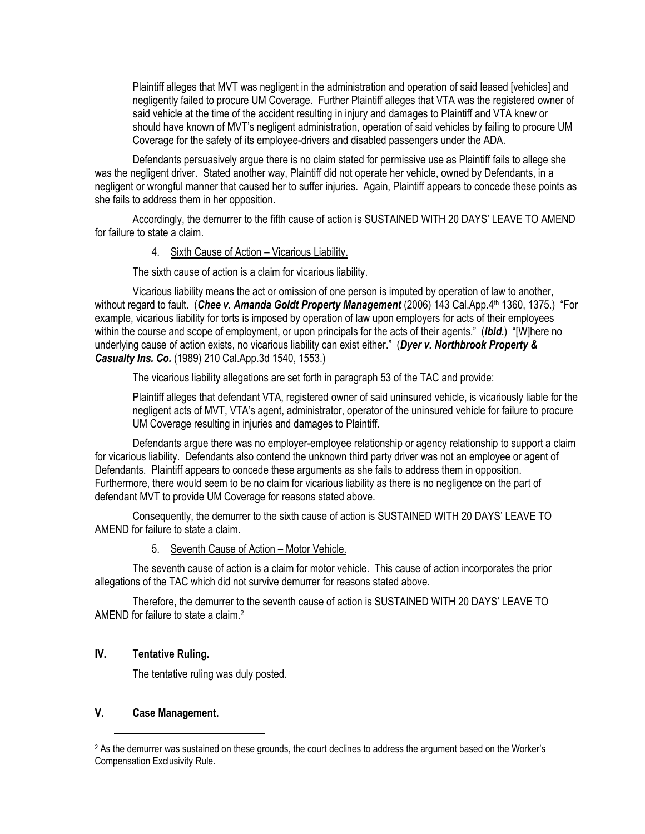Plaintiff alleges that MVT was negligent in the administration and operation of said leased [vehicles] and negligently failed to procure UM Coverage. Further Plaintiff alleges that VTA was the registered owner of said vehicle at the time of the accident resulting in injury and damages to Plaintiff and VTA knew or should have known of MVT's negligent administration, operation of said vehicles by failing to procure UM Coverage for the safety of its employee-drivers and disabled passengers under the ADA.

Defendants persuasively argue there is no claim stated for permissive use as Plaintiff fails to allege she was the negligent driver. Stated another way, Plaintiff did not operate her vehicle, owned by Defendants, in a negligent or wrongful manner that caused her to suffer injuries. Again, Plaintiff appears to concede these points as she fails to address them in her opposition.

Accordingly, the demurrer to the fifth cause of action is SUSTAINED WITH 20 DAYS' LEAVE TO AMEND for failure to state a claim.

#### 4. Sixth Cause of Action – Vicarious Liability.

The sixth cause of action is a claim for vicarious liability.

Vicarious liability means the act or omission of one person is imputed by operation of law to another, without regard to fault. (Chee v. Amanda Goldt Property Management (2006) 143 Cal.App.4<sup>th</sup> 1360, 1375.) "For example, vicarious liability for torts is imposed by operation of law upon employers for acts of their employees within the course and scope of employment, or upon principals for the acts of their agents." (*Ibid.*) "[W]here no underlying cause of action exists, no vicarious liability can exist either." (*Dyer v. Northbrook Property & Casualty Ins. Co.* (1989) 210 Cal.App.3d 1540, 1553.)

The vicarious liability allegations are set forth in paragraph 53 of the TAC and provide:

Plaintiff alleges that defendant VTA, registered owner of said uninsured vehicle, is vicariously liable for the negligent acts of MVT, VTA's agent, administrator, operator of the uninsured vehicle for failure to procure UM Coverage resulting in injuries and damages to Plaintiff.

Defendants argue there was no employer-employee relationship or agency relationship to support a claim for vicarious liability. Defendants also contend the unknown third party driver was not an employee or agent of Defendants. Plaintiff appears to concede these arguments as she fails to address them in opposition. Furthermore, there would seem to be no claim for vicarious liability as there is no negligence on the part of defendant MVT to provide UM Coverage for reasons stated above.

Consequently, the demurrer to the sixth cause of action is SUSTAINED WITH 20 DAYS' LEAVE TO AMEND for failure to state a claim.

5. Seventh Cause of Action – Motor Vehicle.

The seventh cause of action is a claim for motor vehicle. This cause of action incorporates the prior allegations of the TAC which did not survive demurrer for reasons stated above.

Therefore, the demurrer to the seventh cause of action is SUSTAINED WITH 20 DAYS' LEAVE TO AMEND for failure to state a claim.<sup>2</sup>

#### **IV. Tentative Ruling.**

The tentative ruling was duly posted.

## **V. Case Management.**

 $\overline{a}$ 

<sup>&</sup>lt;sup>2</sup> As the demurrer was sustained on these grounds, the court declines to address the argument based on the Worker's Compensation Exclusivity Rule.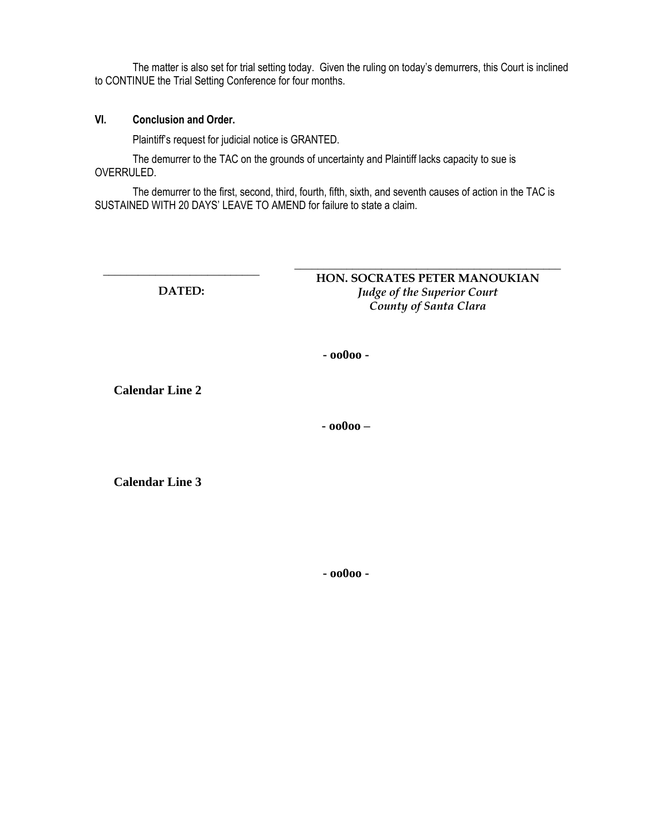The matter is also set for trial setting today. Given the ruling on today's demurrers, this Court is inclined to CONTINUE the Trial Setting Conference for four months.

### **VI. Conclusion and Order.**

Plaintiff's request for judicial notice is GRANTED.

The demurrer to the TAC on the grounds of uncertainty and Plaintiff lacks capacity to sue is OVERRULED.

The demurrer to the first, second, third, fourth, fifth, sixth, and seventh causes of action in the TAC is SUSTAINED WITH 20 DAYS' LEAVE TO AMEND for failure to state a claim.

**\_\_\_\_\_\_\_\_\_\_\_\_\_\_\_\_\_\_\_\_\_\_\_\_\_\_\_ DATED:**

**HON. SOCRATES PETER MANOUKIAN** *Judge of the Superior Court County of Santa Clara*

**\_\_\_\_\_\_\_\_\_\_\_\_\_\_\_\_\_\_\_\_\_\_\_\_\_\_\_\_\_\_\_\_\_\_\_\_\_\_\_\_\_\_\_\_\_\_**

**- [oo0oo -](#page-0-0)**

<span id="page-11-0"></span>**Calendar Line 2**

**- [oo0oo –](#page-0-0)**

<span id="page-11-1"></span>**Calendar Line 3**

**- [oo0oo -](#page-0-0)**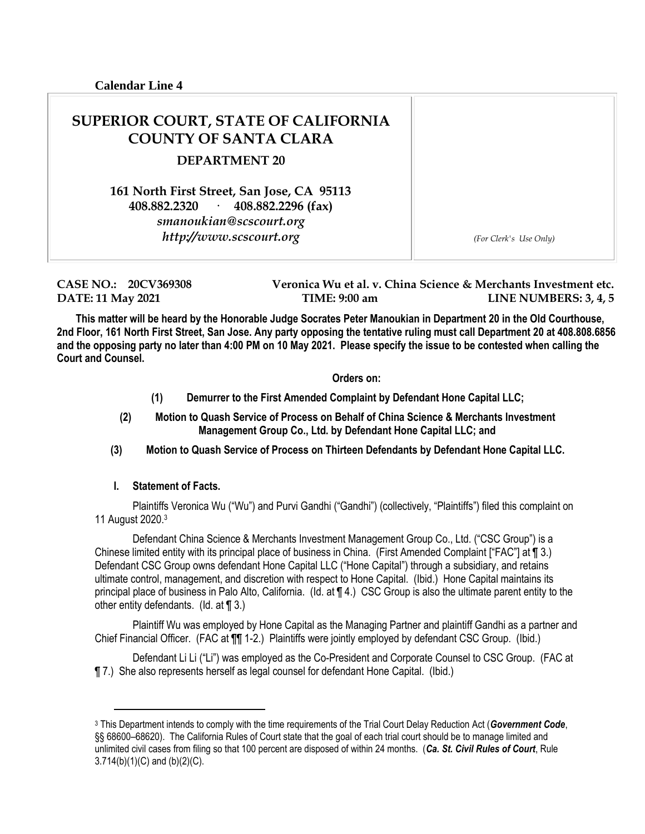# <span id="page-12-0"></span>**SUPERIOR COURT, STATE OF CALIFORNIA COUNTY OF SANTA CLARA**

**DEPARTMENT 20**

**161 North First Street, San Jose, CA 95113 408.882.2320 · 408.882.2296 (fax)** *smanoukian@scscourt.org http://www.scscourt.org (For Clerk's Use Only)*

**CASE NO.: 20CV369308 Veronica Wu et al. v. China Science & Merchants Investment etc. DATE: 11 May 2021 TIME: 9:00 am LINE NUMBERS: 3, 4, 5** 

**This matter will be heard by the Honorable Judge Socrates Peter Manoukian in Department 20 in the Old Courthouse, 2nd Floor, 161 North First Street, San Jose. Any party opposing the tentative ruling must call Department 20 at 408.808.6856 and the opposing party no later than 4:00 PM on 10 May 2021. Please specify the issue to be contested when calling the Court and Counsel.**

**Orders on:** 

- **(1) Demurrer to the First Amended Complaint by Defendant Hone Capital LLC;**
- **(2) Motion to Quash Service of Process on Behalf of China Science & Merchants Investment Management Group Co., Ltd. by Defendant Hone Capital LLC; and**
- **(3) Motion to Quash Service of Process on Thirteen Defendants by Defendant Hone Capital LLC.**

#### **I. Statement of Facts.**

 $\overline{a}$ 

Plaintiffs Veronica Wu ("Wu") and Purvi Gandhi ("Gandhi") (collectively, "Plaintiffs") filed this complaint on 11 August 2020.<sup>3</sup>

Defendant China Science & Merchants Investment Management Group Co., Ltd. ("CSC Group") is a Chinese limited entity with its principal place of business in China. (First Amended Complaint ["FAC"] at ¶ 3.) Defendant CSC Group owns defendant Hone Capital LLC ("Hone Capital") through a subsidiary, and retains ultimate control, management, and discretion with respect to Hone Capital. (Ibid.) Hone Capital maintains its principal place of business in Palo Alto, California. (Id. at ¶ 4.) CSC Group is also the ultimate parent entity to the other entity defendants. (Id. at ¶ 3.)

Plaintiff Wu was employed by Hone Capital as the Managing Partner and plaintiff Gandhi as a partner and Chief Financial Officer. (FAC at ¶¶ 1-2.) Plaintiffs were jointly employed by defendant CSC Group. (Ibid.)

Defendant Li Li ("Li") was employed as the Co-President and Corporate Counsel to CSC Group. (FAC at ¶ 7.) She also represents herself as legal counsel for defendant Hone Capital. (Ibid.)

<sup>3</sup> This Department intends to comply with the time requirements of the Trial Court Delay Reduction Act (*Government Code*, §§ 68600–68620). The California Rules of Court state that the goal of each trial court should be to manage limited and unlimited civil cases from filing so that 100 percent are disposed of within 24 months. (*Ca. St. Civil Rules of Court*, Rule 3.714(b)(1)(C) and (b)(2)(C).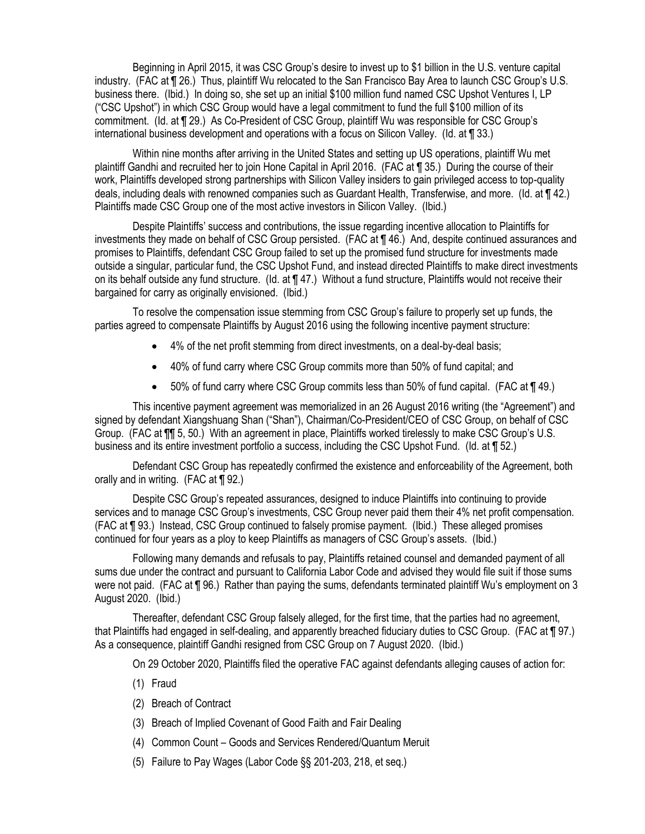Beginning in April 2015, it was CSC Group's desire to invest up to \$1 billion in the U.S. venture capital industry. (FAC at ¶ 26.) Thus, plaintiff Wu relocated to the San Francisco Bay Area to launch CSC Group's U.S. business there. (Ibid.) In doing so, she set up an initial \$100 million fund named CSC Upshot Ventures I, LP ("CSC Upshot") in which CSC Group would have a legal commitment to fund the full \$100 million of its commitment. (Id. at ¶ 29.) As Co-President of CSC Group, plaintiff Wu was responsible for CSC Group's international business development and operations with a focus on Silicon Valley. (Id. at ¶ 33.)

Within nine months after arriving in the United States and setting up US operations, plaintiff Wu met plaintiff Gandhi and recruited her to join Hone Capital in April 2016. (FAC at ¶ 35.) During the course of their work, Plaintiffs developed strong partnerships with Silicon Valley insiders to gain privileged access to top-quality deals, including deals with renowned companies such as Guardant Health, Transferwise, and more. (Id. at ¶ 42.) Plaintiffs made CSC Group one of the most active investors in Silicon Valley. (Ibid.)

Despite Plaintiffs' success and contributions, the issue regarding incentive allocation to Plaintiffs for investments they made on behalf of CSC Group persisted. (FAC at ¶ 46.) And, despite continued assurances and promises to Plaintiffs, defendant CSC Group failed to set up the promised fund structure for investments made outside a singular, particular fund, the CSC Upshot Fund, and instead directed Plaintiffs to make direct investments on its behalf outside any fund structure. (Id. at ¶ 47.) Without a fund structure, Plaintiffs would not receive their bargained for carry as originally envisioned. (Ibid.)

To resolve the compensation issue stemming from CSC Group's failure to properly set up funds, the parties agreed to compensate Plaintiffs by August 2016 using the following incentive payment structure:

- 4% of the net profit stemming from direct investments, on a deal-by-deal basis;
- 40% of fund carry where CSC Group commits more than 50% of fund capital; and
- $\bullet$  50% of fund carry where CSC Group commits less than 50% of fund capital. (FAC at  $\P$  49.)

This incentive payment agreement was memorialized in an 26 August 2016 writing (the "Agreement") and signed by defendant Xiangshuang Shan ("Shan"), Chairman/Co-President/CEO of CSC Group, on behalf of CSC Group. (FAC at ¶¶ 5, 50.) With an agreement in place, Plaintiffs worked tirelessly to make CSC Group's U.S. business and its entire investment portfolio a success, including the CSC Upshot Fund. (Id. at ¶ 52.)

Defendant CSC Group has repeatedly confirmed the existence and enforceability of the Agreement, both orally and in writing. (FAC at ¶ 92.)

Despite CSC Group's repeated assurances, designed to induce Plaintiffs into continuing to provide services and to manage CSC Group's investments, CSC Group never paid them their 4% net profit compensation. (FAC at ¶ 93.) Instead, CSC Group continued to falsely promise payment. (Ibid.) These alleged promises continued for four years as a ploy to keep Plaintiffs as managers of CSC Group's assets. (Ibid.)

Following many demands and refusals to pay, Plaintiffs retained counsel and demanded payment of all sums due under the contract and pursuant to California Labor Code and advised they would file suit if those sums were not paid. (FAC at ¶ 96.) Rather than paying the sums, defendants terminated plaintiff Wu's employment on 3 August 2020. (Ibid.)

Thereafter, defendant CSC Group falsely alleged, for the first time, that the parties had no agreement, that Plaintiffs had engaged in self-dealing, and apparently breached fiduciary duties to CSC Group. (FAC at ¶ 97.) As a consequence, plaintiff Gandhi resigned from CSC Group on 7 August 2020. (Ibid.)

On 29 October 2020, Plaintiffs filed the operative FAC against defendants alleging causes of action for:

- (1) Fraud
- (2) Breach of Contract
- (3) Breach of Implied Covenant of Good Faith and Fair Dealing
- (4) Common Count Goods and Services Rendered/Quantum Meruit
- (5) Failure to Pay Wages (Labor Code §§ 201-203, 218, et seq.)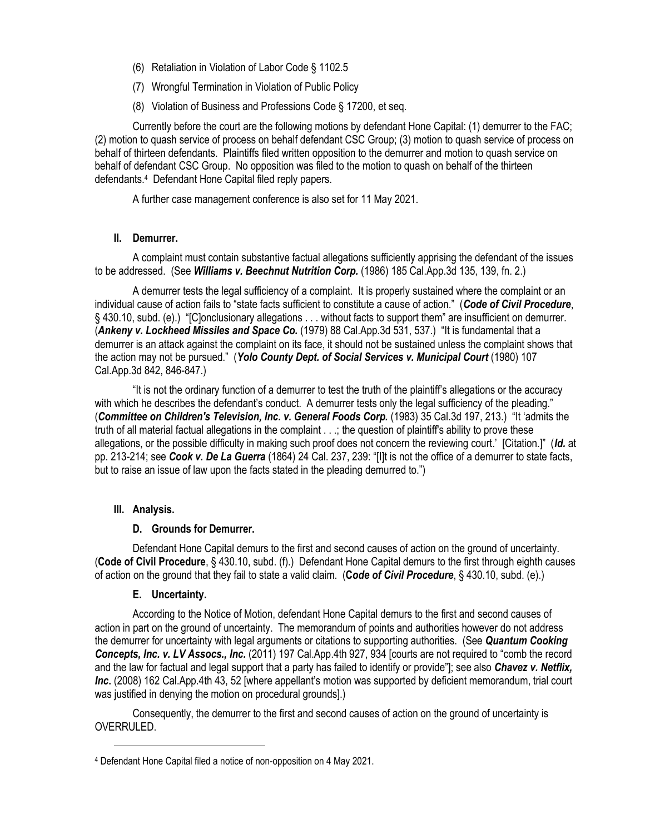- (6) Retaliation in Violation of Labor Code § 1102.5
- (7) Wrongful Termination in Violation of Public Policy
- (8) Violation of Business and Professions Code § 17200, et seq.

Currently before the court are the following motions by defendant Hone Capital: (1) demurrer to the FAC; (2) motion to quash service of process on behalf defendant CSC Group; (3) motion to quash service of process on behalf of thirteen defendants. Plaintiffs filed written opposition to the demurrer and motion to quash service on behalf of defendant CSC Group. No opposition was filed to the motion to quash on behalf of the thirteen defendants.<sup>4</sup> Defendant Hone Capital filed reply papers.

A further case management conference is also set for 11 May 2021.

### **II. Demurrer.**

A complaint must contain substantive factual allegations sufficiently apprising the defendant of the issues to be addressed. (See *Williams v. Beechnut Nutrition Corp.* (1986) 185 Cal.App.3d 135, 139, fn. 2.)

A demurrer tests the legal sufficiency of a complaint. It is properly sustained where the complaint or an individual cause of action fails to "state facts sufficient to constitute a cause of action." (*Code of Civil Procedure*, § 430.10, subd. (e).) "[C]onclusionary allegations . . . without facts to support them" are insufficient on demurrer. (*Ankeny v. Lockheed Missiles and Space Co.* (1979) 88 Cal.App.3d 531, 537.) "It is fundamental that a demurrer is an attack against the complaint on its face, it should not be sustained unless the complaint shows that the action may not be pursued." (*Yolo County Dept. of Social Services v. Municipal Court* (1980) 107 Cal.App.3d 842, 846-847.)

"It is not the ordinary function of a demurrer to test the truth of the plaintiff's allegations or the accuracy with which he describes the defendant's conduct. A demurrer tests only the legal sufficiency of the pleading." (*Committee on Children's Television, Inc. v. General Foods Corp.* (1983) 35 Cal.3d 197, 213.) "It 'admits the truth of all material factual allegations in the complaint . . .; the question of plaintiff's ability to prove these allegations, or the possible difficulty in making such proof does not concern the reviewing court.' [Citation.]" (*Id.* at pp. 213-214; see *Cook v. De La Guerra* (1864) 24 Cal. 237, 239: "[I]t is not the office of a demurrer to state facts, but to raise an issue of law upon the facts stated in the pleading demurred to.")

#### **III. Analysis.**

 $\overline{a}$ 

#### **D. Grounds for Demurrer.**

Defendant Hone Capital demurs to the first and second causes of action on the ground of uncertainty. (**Code of Civil Procedure**, § 430.10, subd. (f).) Defendant Hone Capital demurs to the first through eighth causes of action on the ground that they fail to state a valid claim. (**C***ode of Civil Procedure*, § 430.10, subd. (e).)

# **E. Uncertainty.**

According to the Notice of Motion, defendant Hone Capital demurs to the first and second causes of action in part on the ground of uncertainty. The memorandum of points and authorities however do not address the demurrer for uncertainty with legal arguments or citations to supporting authorities. (See *Quantum Cooking Concepts, Inc. v. LV Assocs., Inc.* (2011) 197 Cal.App.4th 927, 934 [courts are not required to "comb the record and the law for factual and legal support that a party has failed to identify or provide"]; see also *Chavez v. Netflix, Inc***.** (2008) 162 Cal.App.4th 43, 52 [where appellant's motion was supported by deficient memorandum, trial court was justified in denying the motion on procedural grounds].)

Consequently, the demurrer to the first and second causes of action on the ground of uncertainty is OVERRULED.

<sup>4</sup> Defendant Hone Capital filed a notice of non-opposition on 4 May 2021.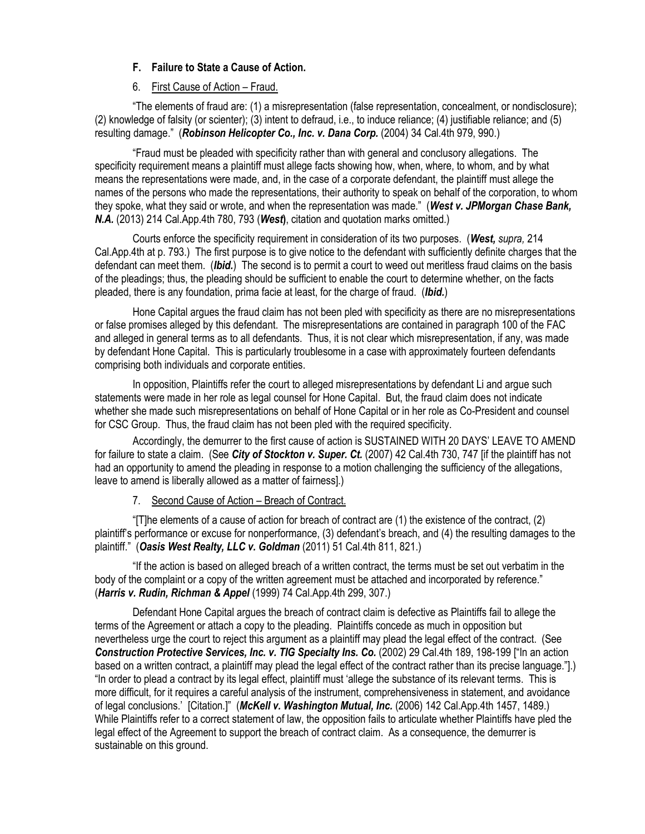## **F. Failure to State a Cause of Action.**

### 6. First Cause of Action – Fraud.

"The elements of fraud are: (1) a misrepresentation (false representation, concealment, or nondisclosure); (2) knowledge of falsity (or scienter); (3) intent to defraud, i.e., to induce reliance; (4) justifiable reliance; and (5) resulting damage." (*Robinson Helicopter Co., Inc. v. Dana Corp.* (2004) 34 Cal.4th 979, 990.)

"Fraud must be pleaded with specificity rather than with general and conclusory allegations. The specificity requirement means a plaintiff must allege facts showing how, when, where, to whom, and by what means the representations were made, and, in the case of a corporate defendant, the plaintiff must allege the names of the persons who made the representations, their authority to speak on behalf of the corporation, to whom they spoke, what they said or wrote, and when the representation was made." (*West v. JPMorgan Chase Bank, N.A.* (2013) 214 Cal.App.4th 780, 793 (*West***)**, citation and quotation marks omitted.)

Courts enforce the specificity requirement in consideration of its two purposes. (*West, supra,* 214 Cal.App.4th at p. 793.) The first purpose is to give notice to the defendant with sufficiently definite charges that the defendant can meet them. (*Ibid.*) The second is to permit a court to weed out meritless fraud claims on the basis of the pleadings; thus, the pleading should be sufficient to enable the court to determine whether, on the facts pleaded, there is any foundation, prima facie at least, for the charge of fraud. (*Ibid.*)

Hone Capital argues the fraud claim has not been pled with specificity as there are no misrepresentations or false promises alleged by this defendant. The misrepresentations are contained in paragraph 100 of the FAC and alleged in general terms as to all defendants. Thus, it is not clear which misrepresentation, if any, was made by defendant Hone Capital. This is particularly troublesome in a case with approximately fourteen defendants comprising both individuals and corporate entities.

In opposition, Plaintiffs refer the court to alleged misrepresentations by defendant Li and argue such statements were made in her role as legal counsel for Hone Capital. But, the fraud claim does not indicate whether she made such misrepresentations on behalf of Hone Capital or in her role as Co-President and counsel for CSC Group. Thus, the fraud claim has not been pled with the required specificity.

Accordingly, the demurrer to the first cause of action is SUSTAINED WITH 20 DAYS' LEAVE TO AMEND for failure to state a claim. (See *City of Stockton v. Super. Ct.* (2007) 42 Cal.4th 730, 747 [if the plaintiff has not had an opportunity to amend the pleading in response to a motion challenging the sufficiency of the allegations, leave to amend is liberally allowed as a matter of fairness].)

7. Second Cause of Action – Breach of Contract.

"[T]he elements of a cause of action for breach of contract are (1) the existence of the contract, (2) plaintiff's performance or excuse for nonperformance, (3) defendant's breach, and (4) the resulting damages to the plaintiff." (*Oasis West Realty, LLC v. Goldman* (2011) 51 Cal.4th 811, 821.)

"If the action is based on alleged breach of a written contract, the terms must be set out verbatim in the body of the complaint or a copy of the written agreement must be attached and incorporated by reference." (*Harris v. Rudin, Richman & Appel* (1999) 74 Cal.App.4th 299, 307.)

Defendant Hone Capital argues the breach of contract claim is defective as Plaintiffs fail to allege the terms of the Agreement or attach a copy to the pleading. Plaintiffs concede as much in opposition but nevertheless urge the court to reject this argument as a plaintiff may plead the legal effect of the contract. (See *Construction Protective Services, Inc. v. TIG Specialty Ins. Co.* (2002) 29 Cal.4th 189, 198-199 ["In an action based on a written contract, a plaintiff may plead the legal effect of the contract rather than its precise language."].) "In order to plead a contract by its legal effect, plaintiff must 'allege the substance of its relevant terms. This is more difficult, for it requires a careful analysis of the instrument, comprehensiveness in statement, and avoidance of legal conclusions.' [Citation.]" (*McKell v. Washington Mutual, Inc.* (2006) 142 Cal.App.4th 1457, 1489.) While Plaintiffs refer to a correct statement of law, the opposition fails to articulate whether Plaintiffs have pled the legal effect of the Agreement to support the breach of contract claim. As a consequence, the demurrer is sustainable on this ground.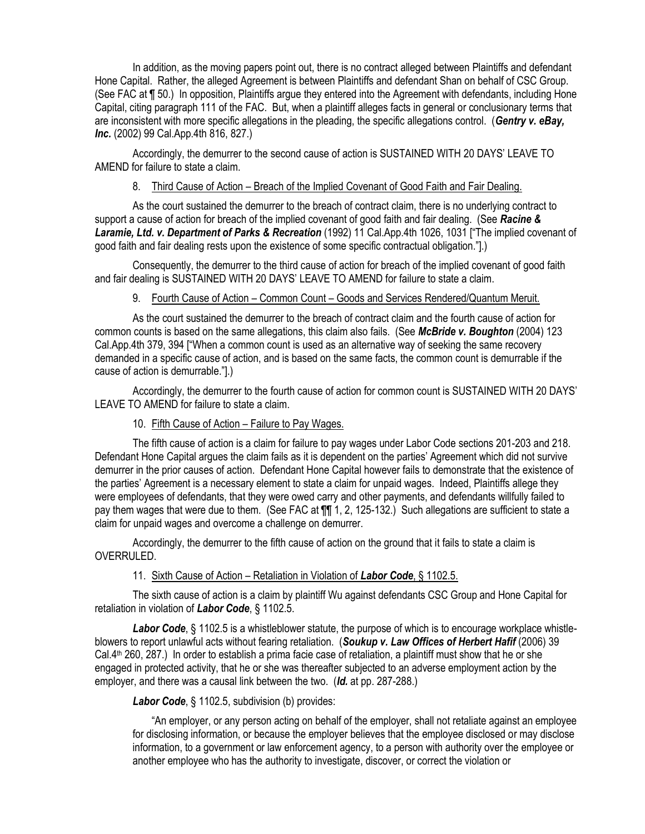In addition, as the moving papers point out, there is no contract alleged between Plaintiffs and defendant Hone Capital. Rather, the alleged Agreement is between Plaintiffs and defendant Shan on behalf of CSC Group. (See FAC at ¶ 50.) In opposition, Plaintiffs argue they entered into the Agreement with defendants, including Hone Capital, citing paragraph 111 of the FAC. But, when a plaintiff alleges facts in general or conclusionary terms that are inconsistent with more specific allegations in the pleading, the specific allegations control. (*Gentry v. eBay, Inc.* (2002) 99 Cal.App.4th 816, 827.)

Accordingly, the demurrer to the second cause of action is SUSTAINED WITH 20 DAYS' LEAVE TO AMEND for failure to state a claim.

8. Third Cause of Action – Breach of the Implied Covenant of Good Faith and Fair Dealing.

As the court sustained the demurrer to the breach of contract claim, there is no underlying contract to support a cause of action for breach of the implied covenant of good faith and fair dealing. (See *Racine & Laramie, Ltd. v. Department of Parks & Recreation* (1992) 11 Cal.App.4th 1026, 1031 ["The implied covenant of good faith and fair dealing rests upon the existence of some specific contractual obligation."].)

Consequently, the demurrer to the third cause of action for breach of the implied covenant of good faith and fair dealing is SUSTAINED WITH 20 DAYS' LEAVE TO AMEND for failure to state a claim.

9. Fourth Cause of Action – Common Count – Goods and Services Rendered/Quantum Meruit.

As the court sustained the demurrer to the breach of contract claim and the fourth cause of action for common counts is based on the same allegations, this claim also fails. (See *McBride v. Boughton* (2004) 123 Cal.App.4th 379, 394 ["When a common count is used as an alternative way of seeking the same recovery demanded in a specific cause of action, and is based on the same facts, the common count is demurrable if the cause of action is demurrable."].)

Accordingly, the demurrer to the fourth cause of action for common count is SUSTAINED WITH 20 DAYS' LEAVE TO AMEND for failure to state a claim.

10. Fifth Cause of Action – Failure to Pay Wages.

The fifth cause of action is a claim for failure to pay wages under Labor Code sections 201-203 and 218. Defendant Hone Capital argues the claim fails as it is dependent on the parties' Agreement which did not survive demurrer in the prior causes of action. Defendant Hone Capital however fails to demonstrate that the existence of the parties' Agreement is a necessary element to state a claim for unpaid wages. Indeed, Plaintiffs allege they were employees of defendants, that they were owed carry and other payments, and defendants willfully failed to pay them wages that were due to them. (See FAC at ¶¶ 1, 2, 125-132.) Such allegations are sufficient to state a claim for unpaid wages and overcome a challenge on demurrer.

Accordingly, the demurrer to the fifth cause of action on the ground that it fails to state a claim is OVERRULED.

11. Sixth Cause of Action – Retaliation in Violation of *Labor Code*, § 1102.5.

The sixth cause of action is a claim by plaintiff Wu against defendants CSC Group and Hone Capital for retaliation in violation of *Labor Code*, § 1102.5.

*Labor Code*, § 1102.5 is a whistleblower statute, the purpose of which is to encourage workplace whistleblowers to report unlawful acts without fearing retaliation. (*Soukup v. Law Offices of Herbert Hafif* (2006) 39 Cal.4<sup>th</sup> 260, 287.) In order to establish a prima facie case of retaliation, a plaintiff must show that he or she engaged in protected activity, that he or she was thereafter subjected to an adverse employment action by the employer, and there was a causal link between the two. (*Id.* at pp. 287-288.)

*Labor Code*, § 1102.5, subdivision (b) provides:

"An employer, or any person acting on behalf of the employer, shall not retaliate against an employee for disclosing information, or because the employer believes that the employee disclosed or may disclose information, to a government or law enforcement agency, to a person with authority over the employee or another employee who has the authority to investigate, discover, or correct the violation or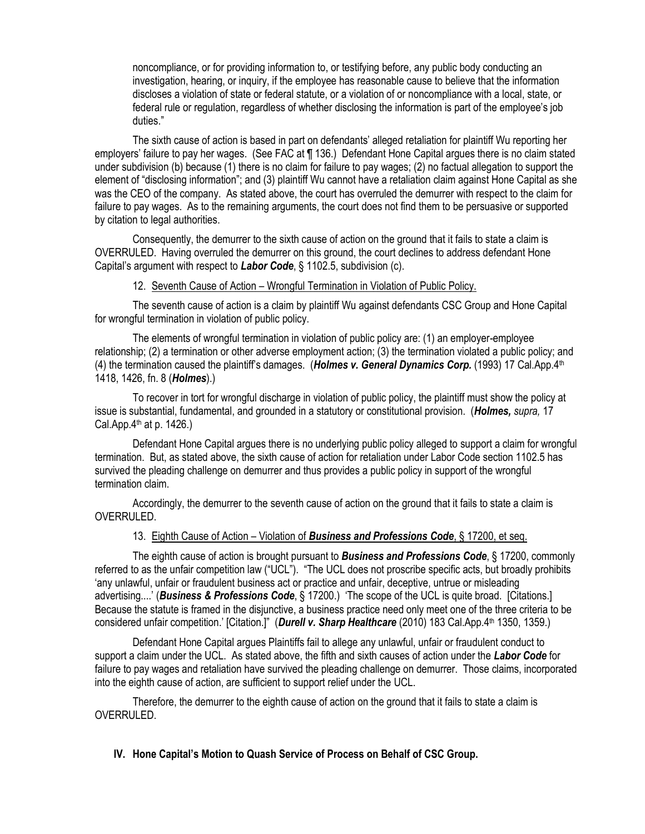noncompliance, or for providing information to, or testifying before, any public body conducting an investigation, hearing, or inquiry, if the employee has reasonable cause to believe that the information discloses a violation of state or federal statute, or a violation of or noncompliance with a local, state, or federal rule or regulation, regardless of whether disclosing the information is part of the employee's job duties."

The sixth cause of action is based in part on defendants' alleged retaliation for plaintiff Wu reporting her employers' failure to pay her wages. (See FAC at ¶ 136.) Defendant Hone Capital argues there is no claim stated under subdivision (b) because (1) there is no claim for failure to pay wages; (2) no factual allegation to support the element of "disclosing information"; and (3) plaintiff Wu cannot have a retaliation claim against Hone Capital as she was the CEO of the company. As stated above, the court has overruled the demurrer with respect to the claim for failure to pay wages. As to the remaining arguments, the court does not find them to be persuasive or supported by citation to legal authorities.

Consequently, the demurrer to the sixth cause of action on the ground that it fails to state a claim is OVERRULED. Having overruled the demurrer on this ground, the court declines to address defendant Hone Capital's argument with respect to *Labor Code*, § 1102.5, subdivision (c).

12. Seventh Cause of Action – Wrongful Termination in Violation of Public Policy.

The seventh cause of action is a claim by plaintiff Wu against defendants CSC Group and Hone Capital for wrongful termination in violation of public policy.

The elements of wrongful termination in violation of public policy are: (1) an employer-employee relationship; (2) a termination or other adverse employment action; (3) the termination violated a public policy; and (4) the termination caused the plaintiff's damages. (*Holmes v. General Dynamics Corp.* (1993) 17 Cal.App.4<sup>th</sup> 1418, 1426, fn. 8 (*Holmes*).)

To recover in tort for wrongful discharge in violation of public policy, the plaintiff must show the policy at issue is substantial, fundamental, and grounded in a statutory or constitutional provision. (*Holmes, supra,* 17 Cal.App. $4<sup>th</sup>$  at p. 1426.)

Defendant Hone Capital argues there is no underlying public policy alleged to support a claim for wrongful termination. But, as stated above, the sixth cause of action for retaliation under Labor Code section 1102.5 has survived the pleading challenge on demurrer and thus provides a public policy in support of the wrongful termination claim.

Accordingly, the demurrer to the seventh cause of action on the ground that it fails to state a claim is OVERRULED.

#### 13. Eighth Cause of Action – Violation of *Business and Professions Code*, § 17200, et seq.

The eighth cause of action is brought pursuant to *Business and Professions Code*, § 17200, commonly referred to as the unfair competition law ("UCL"). "The UCL does not proscribe specific acts, but broadly prohibits 'any unlawful, unfair or fraudulent business act or practice and unfair, deceptive, untrue or misleading advertising....' (*Business & Professions Code*, § 17200.) 'The scope of the UCL is quite broad. [Citations.] Because the statute is framed in the disjunctive, a business practice need only meet one of the three criteria to be considered unfair competition.' [Citation.]" (*Durell v. Sharp Healthcare* (2010) 183 Cal.App.4<sup>th</sup> 1350, 1359.)

Defendant Hone Capital argues Plaintiffs fail to allege any unlawful, unfair or fraudulent conduct to support a claim under the UCL. As stated above, the fifth and sixth causes of action under the *Labor Code* for failure to pay wages and retaliation have survived the pleading challenge on demurrer. Those claims, incorporated into the eighth cause of action, are sufficient to support relief under the UCL.

Therefore, the demurrer to the eighth cause of action on the ground that it fails to state a claim is OVERRULED.

**IV. Hone Capital's Motion to Quash Service of Process on Behalf of CSC Group.**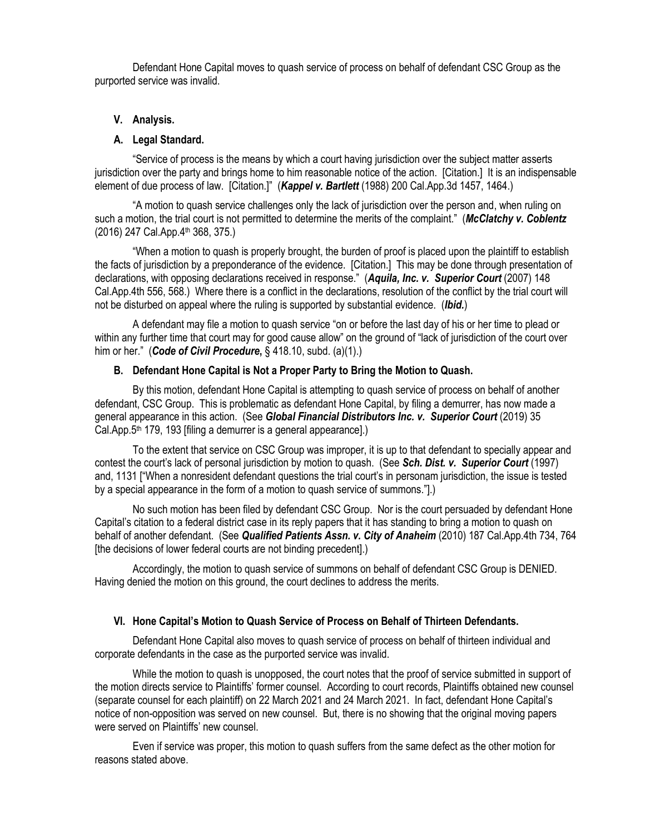Defendant Hone Capital moves to quash service of process on behalf of defendant CSC Group as the purported service was invalid.

## **V. Analysis.**

### **A. Legal Standard.**

"Service of process is the means by which a court having jurisdiction over the subject matter asserts jurisdiction over the party and brings home to him reasonable notice of the action. [Citation.] It is an indispensable element of due process of law. [Citation.]" (*Kappel v. Bartlett* (1988) 200 Cal.App.3d 1457, 1464.)

"A motion to quash service challenges only the lack of jurisdiction over the person and, when ruling on such a motion, the trial court is not permitted to determine the merits of the complaint." (*McClatchy v. Coblentz* (2016) 247 Cal.App.4th 368, 375.)

"When a motion to quash is properly brought, the burden of proof is placed upon the plaintiff to establish the facts of jurisdiction by a preponderance of the evidence. [Citation.] This may be done through presentation of declarations, with opposing declarations received in response." (*Aquila, Inc. v. Superior Court* (2007) 148 Cal.App.4th 556, 568.) Where there is a conflict in the declarations, resolution of the conflict by the trial court will not be disturbed on appeal where the ruling is supported by substantial evidence. (*Ibid.*)

A defendant may file a motion to quash service "on or before the last day of his or her time to plead or within any further time that court may for good cause allow" on the ground of "lack of jurisdiction of the court over him or her." (*Code of Civil Procedure***,** § 418.10, subd. (a)(1).)

#### **B. Defendant Hone Capital is Not a Proper Party to Bring the Motion to Quash.**

By this motion, defendant Hone Capital is attempting to quash service of process on behalf of another defendant, CSC Group. This is problematic as defendant Hone Capital, by filing a demurrer, has now made a general appearance in this action. (See *Global Financial Distributors Inc. v. Superior Court* (2019) 35 Cal.App.5<sup>th</sup> 179, 193 [filing a demurrer is a general appearance].)

To the extent that service on CSC Group was improper, it is up to that defendant to specially appear and contest the court's lack of personal jurisdiction by motion to quash. (See *Sch. Dist. v. Superior Court* (1997) and, 1131 ["When a nonresident defendant questions the trial court's in personam jurisdiction, the issue is tested by a special appearance in the form of a motion to quash service of summons."].)

No such motion has been filed by defendant CSC Group. Nor is the court persuaded by defendant Hone Capital's citation to a federal district case in its reply papers that it has standing to bring a motion to quash on behalf of another defendant. (See *Qualified Patients Assn. v. City of Anaheim* (2010) 187 Cal.App.4th 734, 764 [the decisions of lower federal courts are not binding precedent].)

Accordingly, the motion to quash service of summons on behalf of defendant CSC Group is DENIED. Having denied the motion on this ground, the court declines to address the merits.

# **VI. Hone Capital's Motion to Quash Service of Process on Behalf of Thirteen Defendants.**

Defendant Hone Capital also moves to quash service of process on behalf of thirteen individual and corporate defendants in the case as the purported service was invalid.

While the motion to quash is unopposed, the court notes that the proof of service submitted in support of the motion directs service to Plaintiffs' former counsel. According to court records, Plaintiffs obtained new counsel (separate counsel for each plaintiff) on 22 March 2021 and 24 March 2021. In fact, defendant Hone Capital's notice of non-opposition was served on new counsel. But, there is no showing that the original moving papers were served on Plaintiffs' new counsel.

Even if service was proper, this motion to quash suffers from the same defect as the other motion for reasons stated above.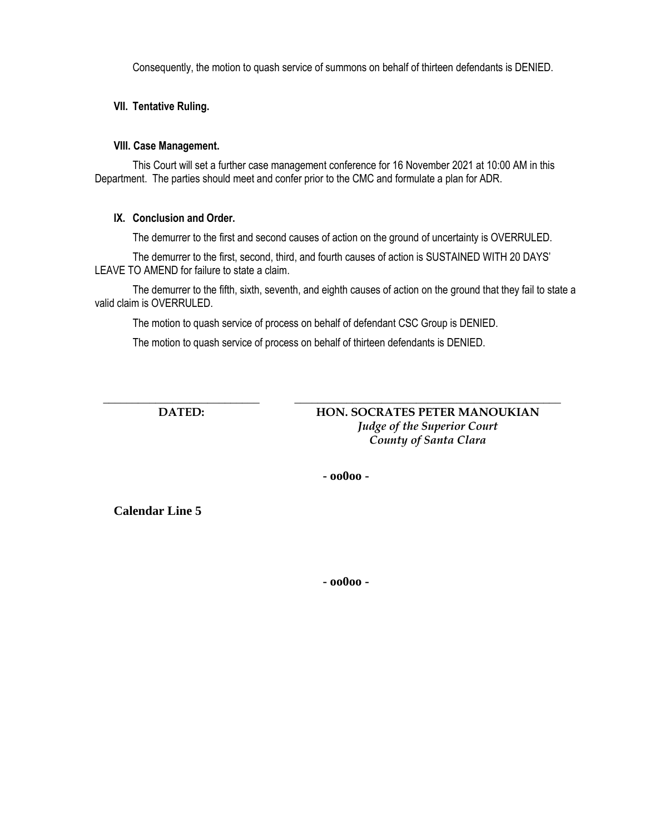Consequently, the motion to quash service of summons on behalf of thirteen defendants is DENIED.

## **VII. Tentative Ruling.**

#### **VIII. Case Management.**

This Court will set a further case management conference for 16 November 2021 at 10:00 AM in this Department. The parties should meet and confer prior to the CMC and formulate a plan for ADR.

#### **IX. Conclusion and Order.**

The demurrer to the first and second causes of action on the ground of uncertainty is OVERRULED.

The demurrer to the first, second, third, and fourth causes of action is SUSTAINED WITH 20 DAYS' LEAVE TO AMEND for failure to state a claim.

The demurrer to the fifth, sixth, seventh, and eighth causes of action on the ground that they fail to state a valid claim is OVERRULED.

The motion to quash service of process on behalf of defendant CSC Group is DENIED.

The motion to quash service of process on behalf of thirteen defendants is DENIED.

**\_\_\_\_\_\_\_\_\_\_\_\_\_\_\_\_\_\_\_\_\_\_\_\_\_\_\_ DATED:**

**\_\_\_\_\_\_\_\_\_\_\_\_\_\_\_\_\_\_\_\_\_\_\_\_\_\_\_\_\_\_\_\_\_\_\_\_\_\_\_\_\_\_\_\_\_\_ HON. SOCRATES PETER MANOUKIAN** *Judge of the Superior Court County of Santa Clara*

**- [oo0oo -](#page-0-0)**

<span id="page-19-0"></span>**Calendar Line 5**

**- [oo0oo -](#page-0-0)**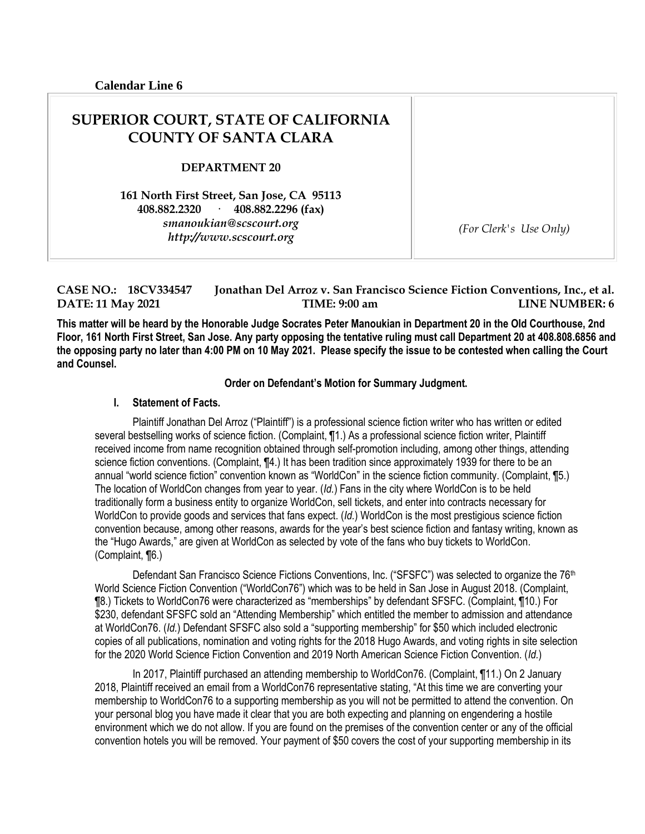# <span id="page-20-0"></span>**SUPERIOR COURT, STATE OF CALIFORNIA COUNTY OF SANTA CLARA**

#### **DEPARTMENT 20**

**161 North First Street, San Jose, CA 95113 408.882.2320 · 408.882.2296 (fax)** *smanoukian@scscourt.org http://www.scscourt.org (For Clerk's Use Only)*

## **CASE NO.: 18CV334547 Jonathan Del Arroz v. San Francisco Science Fiction Conventions, Inc., et al. DATE: 11 May 2021 TIME: 9:00 am LINE NUMBER: 6**

**This matter will be heard by the Honorable Judge Socrates Peter Manoukian in Department 20 in the Old Courthouse, 2nd Floor, 161 North First Street, San Jose. Any party opposing the tentative ruling must call Department 20 at 408.808.6856 and the opposing party no later than 4:00 PM on 10 May 2021. Please specify the issue to be contested when calling the Court and Counsel.**

#### **Order on Defendant's Motion for Summary Judgment.**

#### **I. Statement of Facts.**

Plaintiff Jonathan Del Arroz ("Plaintiff") is a professional science fiction writer who has written or edited several bestselling works of science fiction. (Complaint, ¶1.) As a professional science fiction writer, Plaintiff received income from name recognition obtained through self-promotion including, among other things, attending science fiction conventions. (Complaint,  $\P$ 4.) It has been tradition since approximately 1939 for there to be an annual "world science fiction" convention known as "WorldCon" in the science fiction community. (Complaint, ¶5.) The location of WorldCon changes from year to year. (*Id.*) Fans in the city where WorldCon is to be held traditionally form a business entity to organize WorldCon, sell tickets, and enter into contracts necessary for WorldCon to provide goods and services that fans expect. (*Id.*) WorldCon is the most prestigious science fiction convention because, among other reasons, awards for the year's best science fiction and fantasy writing, known as the "Hugo Awards," are given at WorldCon as selected by vote of the fans who buy tickets to WorldCon. (Complaint, ¶6.)

Defendant San Francisco Science Fictions Conventions, Inc. ("SFSFC") was selected to organize the 76<sup>th</sup> World Science Fiction Convention ("WorldCon76") which was to be held in San Jose in August 2018. (Complaint, ¶8.) Tickets to WorldCon76 were characterized as "memberships" by defendant SFSFC. (Complaint, ¶10.) For \$230, defendant SFSFC sold an "Attending Membership" which entitled the member to admission and attendance at WorldCon76. (*Id.*) Defendant SFSFC also sold a "supporting membership" for \$50 which included electronic copies of all publications, nomination and voting rights for the 2018 Hugo Awards, and voting rights in site selection for the 2020 World Science Fiction Convention and 2019 North American Science Fiction Convention. (*Id.*)

In 2017, Plaintiff purchased an attending membership to WorldCon76. (Complaint, ¶11.) On 2 January 2018, Plaintiff received an email from a WorldCon76 representative stating, "At this time we are converting your membership to WorldCon76 to a supporting membership as you will not be permitted to attend the convention. On your personal blog you have made it clear that you are both expecting and planning on engendering a hostile environment which we do not allow. If you are found on the premises of the convention center or any of the official convention hotels you will be removed. Your payment of \$50 covers the cost of your supporting membership in its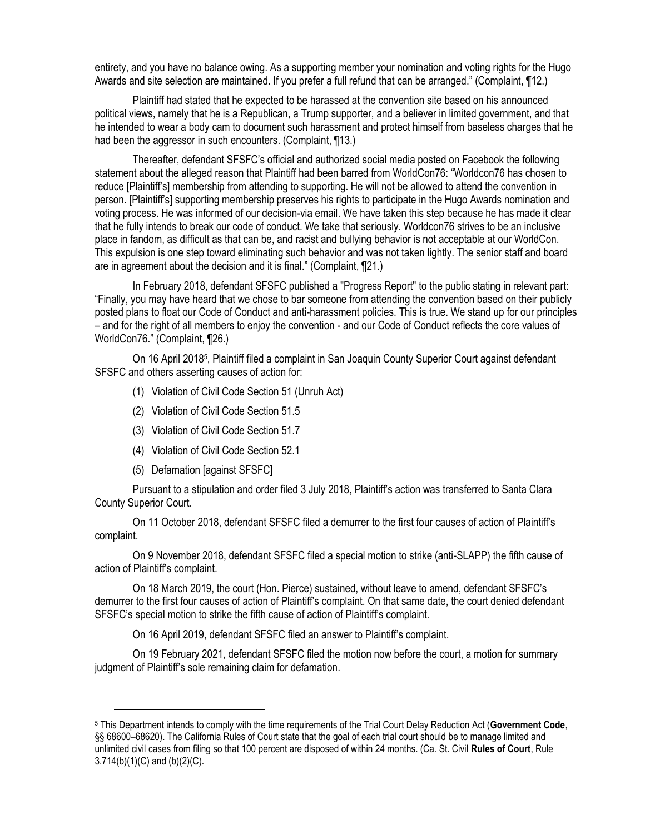entirety, and you have no balance owing. As a supporting member your nomination and voting rights for the Hugo Awards and site selection are maintained. If you prefer a full refund that can be arranged." (Complaint, ¶12.)

Plaintiff had stated that he expected to be harassed at the convention site based on his announced political views, namely that he is a Republican, a Trump supporter, and a believer in limited government, and that he intended to wear a body cam to document such harassment and protect himself from baseless charges that he had been the aggressor in such encounters. (Complaint, 1913.)

Thereafter, defendant SFSFC's official and authorized social media posted on Facebook the following statement about the alleged reason that Plaintiff had been barred from WorldCon76: "Worldcon76 has chosen to reduce [Plaintiff's] membership from attending to supporting. He will not be allowed to attend the convention in person. [Plaintiff's] supporting membership preserves his rights to participate in the Hugo Awards nomination and voting process. He was informed of our decision-via email. We have taken this step because he has made it clear that he fully intends to break our code of conduct. We take that seriously. Worldcon76 strives to be an inclusive place in fandom, as difficult as that can be, and racist and bullying behavior is not acceptable at our WorldCon. This expulsion is one step toward eliminating such behavior and was not taken lightly. The senior staff and board are in agreement about the decision and it is final." (Complaint, ¶21.)

In February 2018, defendant SFSFC published a "Progress Report" to the public stating in relevant part: "Finally, you may have heard that we chose to bar someone from attending the convention based on their publicly posted plans to float our Code of Conduct and anti-harassment policies. This is true. We stand up for our principles – and for the right of all members to enjoy the convention - and our Code of Conduct reflects the core values of WorldCon76." (Complaint, ¶26.)

On 16 April 2018<sup>5</sup>, Plaintiff filed a complaint in San Joaquin County Superior Court against defendant SFSFC and others asserting causes of action for:

- (1) Violation of Civil Code Section 51 (Unruh Act)
- (2) Violation of Civil Code Section 51.5
- (3) Violation of Civil Code Section 51.7
- (4) Violation of Civil Code Section 52.1
- (5) Defamation [against SFSFC]

 $\overline{a}$ 

Pursuant to a stipulation and order filed 3 July 2018, Plaintiff's action was transferred to Santa Clara County Superior Court.

On 11 October 2018, defendant SFSFC filed a demurrer to the first four causes of action of Plaintiff's complaint.

On 9 November 2018, defendant SFSFC filed a special motion to strike (anti-SLAPP) the fifth cause of action of Plaintiff's complaint.

On 18 March 2019, the court (Hon. Pierce) sustained, without leave to amend, defendant SFSFC's demurrer to the first four causes of action of Plaintiff's complaint. On that same date, the court denied defendant SFSFC's special motion to strike the fifth cause of action of Plaintiff's complaint.

On 16 April 2019, defendant SFSFC filed an answer to Plaintiff's complaint.

On 19 February 2021, defendant SFSFC filed the motion now before the court, a motion for summary judgment of Plaintiff's sole remaining claim for defamation.

<sup>5</sup> This Department intends to comply with the time requirements of the Trial Court Delay Reduction Act (**Government Code**, §§ 68600–68620). The California Rules of Court state that the goal of each trial court should be to manage limited and unlimited civil cases from filing so that 100 percent are disposed of within 24 months. (Ca. St. Civil **Rules of Court**, Rule 3.714(b)(1)(C) and (b)(2)(C).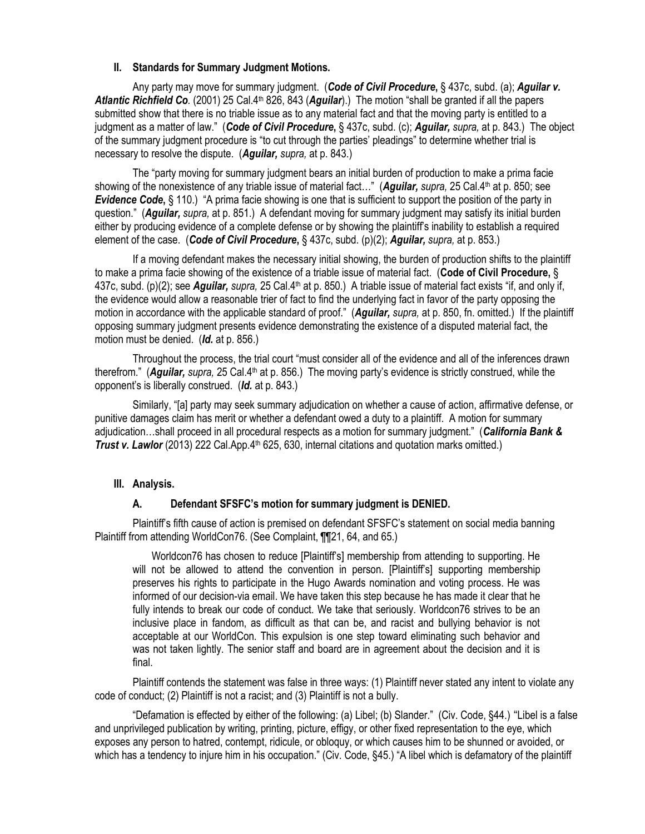#### **II. Standards for Summary Judgment Motions.**

Any party may move for summary judgment. (*Code of Civil Procedure***,** § 437c, subd. (a); *Aguilar v. Atlantic Richfield Co.* (2001) 25 Cal.4th 826, 843 (*Aguilar*).) The motion "shall be granted if all the papers submitted show that there is no triable issue as to any material fact and that the moving party is entitled to a judgment as a matter of law." (*Code of Civil Procedure***,** § 437c, subd. (c); *Aguilar, supra,* at p. 843.) The object of the summary judgment procedure is "to cut through the parties' pleadings" to determine whether trial is necessary to resolve the dispute. (*Aguilar, supra,* at p. 843.)

The "party moving for summary judgment bears an initial burden of production to make a prima facie showing of the nonexistence of any triable issue of material fact…" (*Aguilar, supra,* 25 Cal.4th at p. 850; see *Evidence Code*, § 110.) "A prima facie showing is one that is sufficient to support the position of the party in question." (*Aguilar, supra,* at p. 851.) A defendant moving for summary judgment may satisfy its initial burden either by producing evidence of a complete defense or by showing the plaintiff's inability to establish a required element of the case. (*Code of Civil Procedure***,** § 437c, subd. (p)(2); *Aguilar, supra,* at p. 853.)

If a moving defendant makes the necessary initial showing, the burden of production shifts to the plaintiff to make a prima facie showing of the existence of a triable issue of material fact. (**Code of Civil Procedure,** § 437c, subd. (p)(2); see *Aguilar, supra,* 25 Cal.4th at p. 850.) A triable issue of material fact exists "if, and only if, the evidence would allow a reasonable trier of fact to find the underlying fact in favor of the party opposing the motion in accordance with the applicable standard of proof." (*Aguilar, supra,* at p. 850, fn. omitted.) If the plaintiff opposing summary judgment presents evidence demonstrating the existence of a disputed material fact, the motion must be denied. (*Id.* at p. 856.)

Throughout the process, the trial court "must consider all of the evidence and all of the inferences drawn therefrom." (*Aguilar, supra,* 25 Cal.4th at p. 856.) The moving party's evidence is strictly construed, while the opponent's is liberally construed. (*Id.* at p. 843.)

Similarly, "[a] party may seek summary adjudication on whether a cause of action, affirmative defense, or punitive damages claim has merit or whether a defendant owed a duty to a plaintiff. A motion for summary adjudication…shall proceed in all procedural respects as a motion for summary judgment." (*California Bank & Trust v. Lawlor* (2013) 222 Cal.App.4<sup>th</sup> 625, 630, internal citations and quotation marks omitted.)

# **III. Analysis.**

# **A. Defendant SFSFC's motion for summary judgment is DENIED.**

Plaintiff's fifth cause of action is premised on defendant SFSFC's statement on social media banning Plaintiff from attending WorldCon76. (See Complaint, ¶¶21, 64, and 65.)

Worldcon76 has chosen to reduce [Plaintiff's] membership from attending to supporting. He will not be allowed to attend the convention in person. [Plaintiff's] supporting membership preserves his rights to participate in the Hugo Awards nomination and voting process. He was informed of our decision-via email. We have taken this step because he has made it clear that he fully intends to break our code of conduct. We take that seriously. Worldcon76 strives to be an inclusive place in fandom, as difficult as that can be, and racist and bullying behavior is not acceptable at our WorldCon. This expulsion is one step toward eliminating such behavior and was not taken lightly. The senior staff and board are in agreement about the decision and it is final.

Plaintiff contends the statement was false in three ways: (1) Plaintiff never stated any intent to violate any code of conduct; (2) Plaintiff is not a racist; and (3) Plaintiff is not a bully.

"Defamation is effected by either of the following: (a) Libel; (b) Slander." (Civ. Code, §44.) "Libel is a false and unprivileged publication by writing, printing, picture, effigy, or other fixed representation to the eye, which exposes any person to hatred, contempt, ridicule, or obloquy, or which causes him to be shunned or avoided, or which has a tendency to injure him in his occupation." (Civ. Code, §45.) "A libel which is defamatory of the plaintiff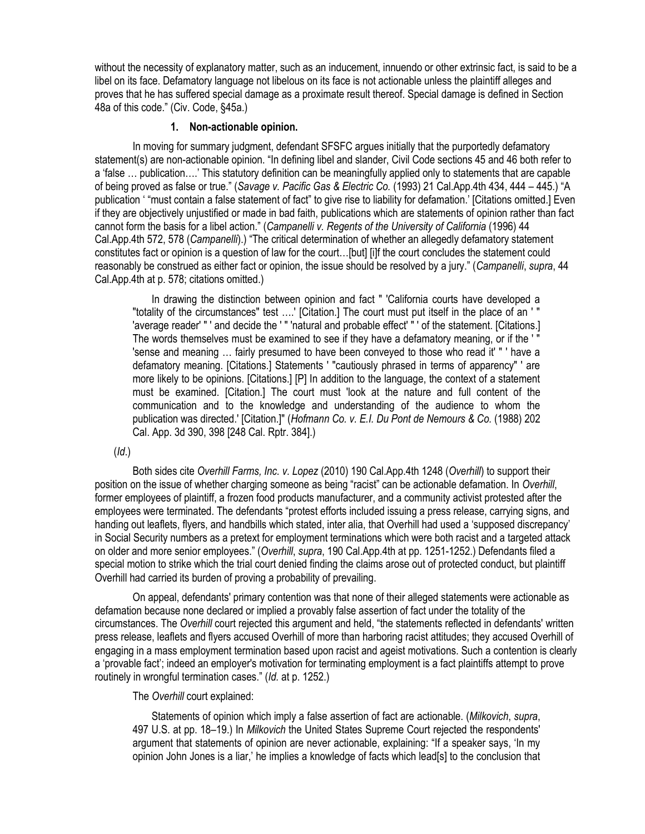without the necessity of explanatory matter, such as an inducement, innuendo or other extrinsic fact, is said to be a libel on its face. Defamatory language not libelous on its face is not actionable unless the plaintiff alleges and proves that he has suffered special damage as a proximate result thereof. Special damage is defined in Section 48a of this code." (Civ. Code, §45a.)

### **1. Non-actionable opinion.**

In moving for summary judgment, defendant SFSFC argues initially that the purportedly defamatory statement(s) are non-actionable opinion. "In defining libel and slander, Civil Code sections 45 and 46 both refer to a 'false … publication….' This statutory definition can be meaningfully applied only to statements that are capable of being proved as false or true." (*Savage v. Pacific Gas & Electric Co.* (1993) 21 Cal.App.4th 434, 444 – 445.) "A publication ' "must contain a false statement of fact" to give rise to liability for defamation.' [Citations omitted.] Even if they are objectively unjustified or made in bad faith, publications which are statements of opinion rather than fact cannot form the basis for a libel action." (*Campanelli v. Regents of the University of California* (1996) 44 Cal.App.4th 572, 578 (*Campanelli*).) "The critical determination of whether an allegedly defamatory statement constitutes fact or opinion is a question of law for the court…[but] [i]f the court concludes the statement could reasonably be construed as either fact or opinion, the issue should be resolved by a jury." (*Campanelli*, *supra*, 44 Cal.App.4th at p. 578; citations omitted.)

In drawing the distinction between opinion and fact " 'California courts have developed a "totality of the circumstances" test ….' [Citation.] The court must put itself in the place of an ' " 'average reader' " ' and decide the ' " 'natural and probable effect' " ' of the statement. [Citations.] The words themselves must be examined to see if they have a defamatory meaning, or if the ' " 'sense and meaning … fairly presumed to have been conveyed to those who read it' " ' have a defamatory meaning. [Citations.] Statements ' "cautiously phrased in terms of apparency" ' are more likely to be opinions. [Citations.] [P] In addition to the language, the context of a statement must be examined. [Citation.] The court must 'look at the nature and full content of the communication and to the knowledge and understanding of the audience to whom the publication was directed.' [Citation.]" (*Hofmann Co. v. E.I. Du Pont de Nemours & Co.* (1988) 202 Cal. App. 3d 390, 398 [248 Cal. Rptr. 384].)

(*Id*.)

Both sides cite *Overhill Farms, Inc. v. Lopez* (2010) 190 Cal.App.4th 1248 (*Overhill*) to support their position on the issue of whether charging someone as being "racist" can be actionable defamation. In *Overhill*, former employees of plaintiff, a frozen food products manufacturer, and a community activist protested after the employees were terminated. The defendants "protest efforts included issuing a press release, carrying signs, and handing out leaflets, flyers, and handbills which stated, inter alia, that Overhill had used a 'supposed discrepancy' in Social Security numbers as a pretext for employment terminations which were both racist and a targeted attack on older and more senior employees." (*Overhill*, *supra*, 190 Cal.App.4th at pp. 1251-1252.) Defendants filed a special motion to strike which the trial court denied finding the claims arose out of protected conduct, but plaintiff Overhill had carried its burden of proving a probability of prevailing.

On appeal, defendants' primary contention was that none of their alleged statements were actionable as defamation because none declared or implied a provably false assertion of fact under the totality of the circumstances. The *Overhill* court rejected this argument and held, "the statements reflected in defendants' written press release, leaflets and flyers accused Overhill of more than harboring racist attitudes; they accused Overhill of engaging in a mass employment termination based upon racist and ageist motivations. Such a contention is clearly a 'provable fact'; indeed an employer's motivation for terminating employment is a fact plaintiffs attempt to prove routinely in wrongful termination cases." (*Id.* at p. 1252.)

# The *Overhill* court explained:

Statements of opinion which imply a false assertion of fact are actionable. (*Milkovich*, *supra*, 497 U.S. at pp. 18–19.) In *Milkovich* the United States Supreme Court rejected the respondents' argument that statements of opinion are never actionable, explaining: "If a speaker says, 'In my opinion John Jones is a liar,' he implies a knowledge of facts which lead[s] to the conclusion that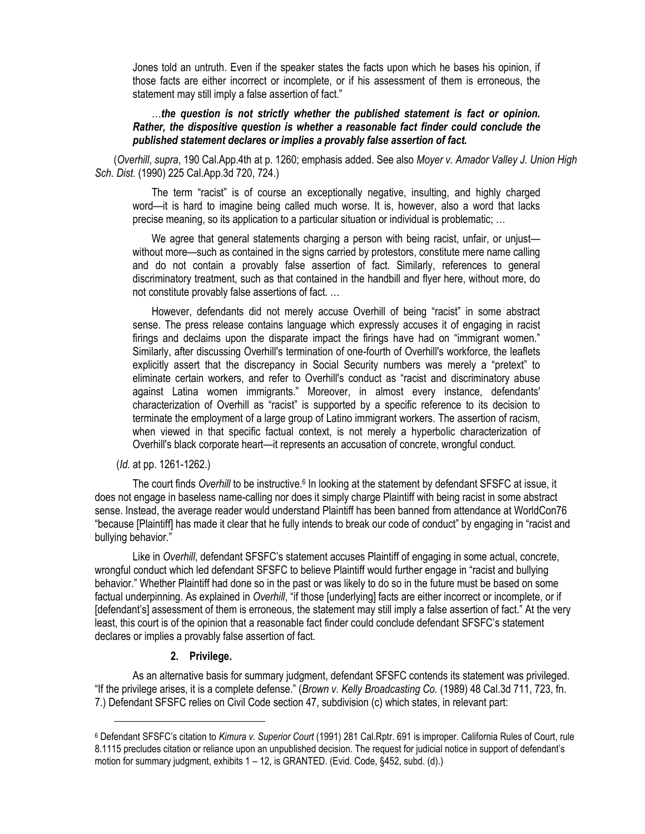Jones told an untruth. Even if the speaker states the facts upon which he bases his opinion, if those facts are either incorrect or incomplete, or if his assessment of them is erroneous, the statement may still imply a false assertion of fact."

#### …*the question is not strictly whether the published statement is fact or opinion. Rather, the dispositive question is whether a reasonable fact finder could conclude the published statement declares or implies a provably false assertion of fact.*

(*Overhill*, *supra*, 190 Cal.App.4th at p. 1260; emphasis added. See also *Moyer v. Amador Valley J. Union High Sch. Dist.* (1990) 225 Cal.App.3d 720, 724.)

The term "racist" is of course an exceptionally negative, insulting, and highly charged word—it is hard to imagine being called much worse. It is, however, also a word that lacks precise meaning, so its application to a particular situation or individual is problematic; …

We agree that general statements charging a person with being racist, unfair, or unjust without more—such as contained in the signs carried by protestors, constitute mere name calling and do not contain a provably false assertion of fact. Similarly, references to general discriminatory treatment, such as that contained in the handbill and flyer here, without more, do not constitute provably false assertions of fact. …

However, defendants did not merely accuse Overhill of being "racist" in some abstract sense. The press release contains language which expressly accuses it of engaging in racist firings and declaims upon the disparate impact the firings have had on "immigrant women." Similarly, after discussing Overhill's termination of one-fourth of Overhill's workforce, the leaflets explicitly assert that the discrepancy in Social Security numbers was merely a "pretext" to eliminate certain workers, and refer to Overhill's conduct as "racist and discriminatory abuse against Latina women immigrants." Moreover, in almost every instance, defendants' characterization of Overhill as "racist" is supported by a specific reference to its decision to terminate the employment of a large group of Latino immigrant workers. The assertion of racism, when viewed in that specific factual context, is not merely a hyperbolic characterization of Overhill's black corporate heart—it represents an accusation of concrete, wrongful conduct.

(*Id.* at pp. 1261-1262.)

 $\overline{a}$ 

The court finds Overhill to be instructive.<sup>6</sup> In looking at the statement by defendant SFSFC at issue, it does not engage in baseless name-calling nor does it simply charge Plaintiff with being racist in some abstract sense. Instead, the average reader would understand Plaintiff has been banned from attendance at WorldCon76 "because [Plaintiff] has made it clear that he fully intends to break our code of conduct" by engaging in "racist and bullying behavior."

Like in *Overhill*, defendant SFSFC's statement accuses Plaintiff of engaging in some actual, concrete, wrongful conduct which led defendant SFSFC to believe Plaintiff would further engage in "racist and bullying behavior." Whether Plaintiff had done so in the past or was likely to do so in the future must be based on some factual underpinning. As explained in *Overhill*, "if those [underlying] facts are either incorrect or incomplete, or if [defendant's] assessment of them is erroneous, the statement may still imply a false assertion of fact." At the very least, this court is of the opinion that a reasonable fact finder could conclude defendant SFSFC's statement declares or implies a provably false assertion of fact.

#### **2. Privilege.**

As an alternative basis for summary judgment, defendant SFSFC contends its statement was privileged. "If the privilege arises, it is a complete defense." (*Brown v. Kelly Broadcasting Co.* (1989) 48 Cal.3d 711, 723, fn. 7.) Defendant SFSFC relies on Civil Code section 47, subdivision (c) which states, in relevant part:

<sup>6</sup> Defendant SFSFC's citation to *Kimura v. Superior Court* (1991) 281 Cal.Rptr. 691 is improper. California Rules of Court, rule 8.1115 precludes citation or reliance upon an unpublished decision. The request for judicial notice in support of defendant's motion for summary judgment, exhibits 1 – 12, is GRANTED. (Evid. Code, §452, subd. (d).)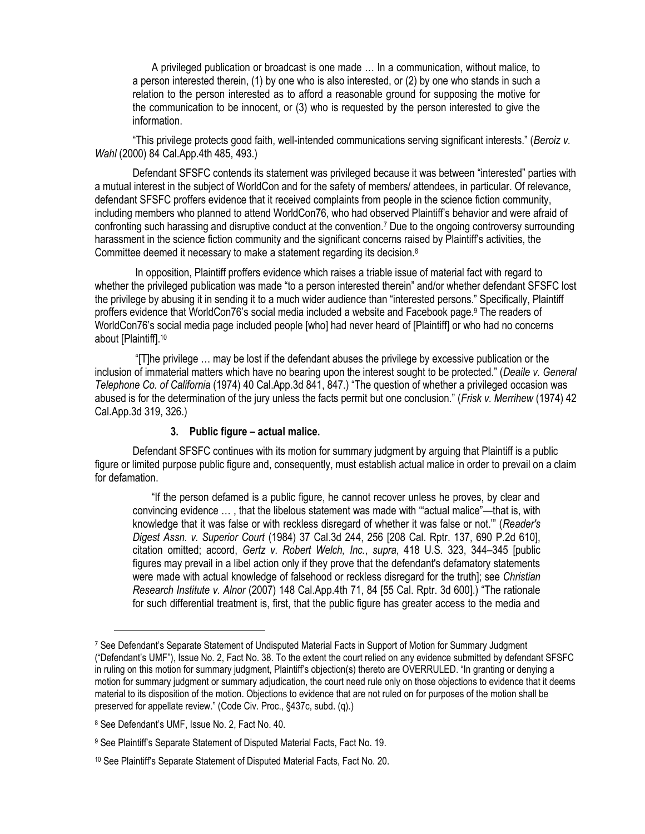A privileged publication or broadcast is one made … In a communication, without malice, to a person interested therein, (1) by one who is also interested, or (2) by one who stands in such a relation to the person interested as to afford a reasonable ground for supposing the motive for the communication to be innocent, or (3) who is requested by the person interested to give the information.

"This privilege protects good faith, well-intended communications serving significant interests." (*Beroiz v. Wahl* (2000) 84 Cal.App.4th 485, 493.)

Defendant SFSFC contends its statement was privileged because it was between "interested" parties with a mutual interest in the subject of WorldCon and for the safety of members/ attendees, in particular. Of relevance, defendant SFSFC proffers evidence that it received complaints from people in the science fiction community, including members who planned to attend WorldCon76, who had observed Plaintiff's behavior and were afraid of confronting such harassing and disruptive conduct at the convention.<sup>7</sup> Due to the ongoing controversy surrounding harassment in the science fiction community and the significant concerns raised by Plaintiff's activities, the Committee deemed it necessary to make a statement regarding its decision.<sup>8</sup>

In opposition, Plaintiff proffers evidence which raises a triable issue of material fact with regard to whether the privileged publication was made "to a person interested therein" and/or whether defendant SFSFC lost the privilege by abusing it in sending it to a much wider audience than "interested persons." Specifically, Plaintiff proffers evidence that WorldCon76's social media included a website and Facebook page.<sup>9</sup> The readers of WorldCon76's social media page included people [who] had never heard of [Plaintiff] or who had no concerns about [Plaintiff].<sup>10</sup>

"[T]he privilege … may be lost if the defendant abuses the privilege by excessive publication or the inclusion of immaterial matters which have no bearing upon the interest sought to be protected." (*Deaile v. General Telephone Co. of California* (1974) 40 Cal.App.3d 841, 847.) "The question of whether a privileged occasion was abused is for the determination of the jury unless the facts permit but one conclusion." (*Frisk v. Merrihew* (1974) 42 Cal.App.3d 319, 326.)

#### **3. Public figure – actual malice.**

Defendant SFSFC continues with its motion for summary judgment by arguing that Plaintiff is a public figure or limited purpose public figure and, consequently, must establish actual malice in order to prevail on a claim for defamation.

"If the person defamed is a public figure, he cannot recover unless he proves, by clear and convincing evidence … , that the libelous statement was made with '"actual malice"—that is, with knowledge that it was false or with reckless disregard of whether it was false or not.'" (*Reader's Digest Assn. v. Superior Court* (1984) 37 Cal.3d 244, 256 [208 Cal. Rptr. 137, 690 P.2d 610], citation omitted; accord, *Gertz v. Robert Welch, Inc.*, *supra*, 418 U.S. 323, 344–345 [public figures may prevail in a libel action only if they prove that the defendant's defamatory statements were made with actual knowledge of falsehood or reckless disregard for the truth]; see *Christian Research Institute v. Alnor* (2007) 148 Cal.App.4th 71, 84 [55 Cal. Rptr. 3d 600].) "The rationale for such differential treatment is, first, that the public figure has greater access to the media and

 $\overline{a}$ 

<sup>7</sup> See Defendant's Separate Statement of Undisputed Material Facts in Support of Motion for Summary Judgment ("Defendant's UMF"), Issue No. 2, Fact No. 38. To the extent the court relied on any evidence submitted by defendant SFSFC in ruling on this motion for summary judgment, Plaintiff's objection(s) thereto are OVERRULED. "In granting or denying a motion for summary judgment or summary adjudication, the court need rule only on those objections to evidence that it deems material to its disposition of the motion. Objections to evidence that are not ruled on for purposes of the motion shall be preserved for appellate review." (Code Civ. Proc., §437c, subd. (q).)

<sup>8</sup> See Defendant's UMF, Issue No. 2, Fact No. 40.

<sup>&</sup>lt;sup>9</sup> See Plaintiff's Separate Statement of Disputed Material Facts, Fact No. 19.

<sup>10</sup> See Plaintiff's Separate Statement of Disputed Material Facts, Fact No. 20.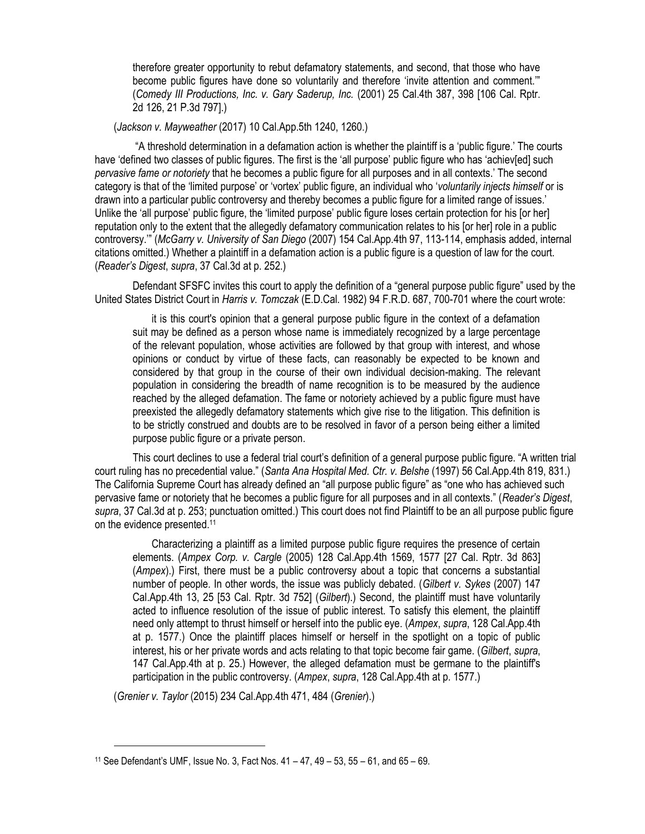therefore greater opportunity to rebut defamatory statements, and second, that those who have become public figures have done so voluntarily and therefore 'invite attention and comment.'" (*Comedy III Productions, Inc. v. Gary Saderup, Inc.* (2001) 25 Cal.4th 387, 398 [106 Cal. Rptr. 2d 126, 21 P.3d 797].)

(*Jackson v. Mayweather* (2017) 10 Cal.App.5th 1240, 1260.)

"A threshold determination in a defamation action is whether the plaintiff is a 'public figure.' The courts have 'defined two classes of public figures. The first is the 'all purpose' public figure who has 'achiev[ed] such *pervasive fame or notoriety* that he becomes a public figure for all purposes and in all contexts.' The second category is that of the 'limited purpose' or 'vortex' public figure, an individual who '*voluntarily injects himself* or is drawn into a particular public controversy and thereby becomes a public figure for a limited range of issues.' Unlike the 'all purpose' public figure, the 'limited purpose' public figure loses certain protection for his [or her] reputation only to the extent that the allegedly defamatory communication relates to his [or her] role in a public controversy.'" (*McGarry v. University of San Diego* (2007) 154 Cal.App.4th 97, 113-114, emphasis added, internal citations omitted.) Whether a plaintiff in a defamation action is a public figure is a question of law for the court. (*Reader's Digest*, *supra*, 37 Cal.3d at p. 252.)

Defendant SFSFC invites this court to apply the definition of a "general purpose public figure" used by the United States District Court in *Harris v. Tomczak* (E.D.Cal. 1982) 94 F.R.D. 687, 700-701 where the court wrote:

it is this court's opinion that a general purpose public figure in the context of a defamation suit may be defined as a person whose name is immediately recognized by a large percentage of the relevant population, whose activities are followed by that group with interest, and whose opinions or conduct by virtue of these facts, can reasonably be expected to be known and considered by that group in the course of their own individual decision-making. The relevant population in considering the breadth of name recognition is to be measured by the audience reached by the alleged defamation. The fame or notoriety achieved by a public figure must have preexisted the allegedly defamatory statements which give rise to the litigation. This definition is to be strictly construed and doubts are to be resolved in favor of a person being either a limited purpose public figure or a private person.

This court declines to use a federal trial court's definition of a general purpose public figure. "A written trial court ruling has no precedential value." (*Santa Ana Hospital Med. Ctr. v. Belshe* (1997) 56 Cal.App.4th 819, 831.) The California Supreme Court has already defined an "all purpose public figure" as "one who has achieved such pervasive fame or notoriety that he becomes a public figure for all purposes and in all contexts." (*Reader's Digest*, *supra*, 37 Cal.3d at p. 253; punctuation omitted.) This court does not find Plaintiff to be an all purpose public figure on the evidence presented.<sup>11</sup>

Characterizing a plaintiff as a limited purpose public figure requires the presence of certain elements. (*Ampex Corp. v. Cargle* (2005) 128 Cal.App.4th 1569, 1577 [27 Cal. Rptr. 3d 863] (*Ampex*).) First, there must be a public controversy about a topic that concerns a substantial number of people. In other words, the issue was publicly debated. (*Gilbert v. Sykes* (2007) 147 Cal.App.4th 13, 25 [53 Cal. Rptr. 3d 752] (*Gilbert*).) Second, the plaintiff must have voluntarily acted to influence resolution of the issue of public interest. To satisfy this element, the plaintiff need only attempt to thrust himself or herself into the public eye. (*Ampex*, *supra*, 128 Cal.App.4th at p. 1577.) Once the plaintiff places himself or herself in the spotlight on a topic of public interest, his or her private words and acts relating to that topic become fair game. (*Gilbert*, *supra*, 147 Cal.App.4th at p. 25.) However, the alleged defamation must be germane to the plaintiff's participation in the public controversy. (*Ampex*, *supra*, 128 Cal.App.4th at p. 1577.)

(*Grenier v. Taylor* (2015) 234 Cal.App.4th 471, 484 (*Grenier*).)

 $\overline{a}$ 

<sup>11</sup> See Defendant's UMF, Issue No. 3, Fact Nos. 41 – 47, 49 – 53, 55 – 61, and 65 – 69.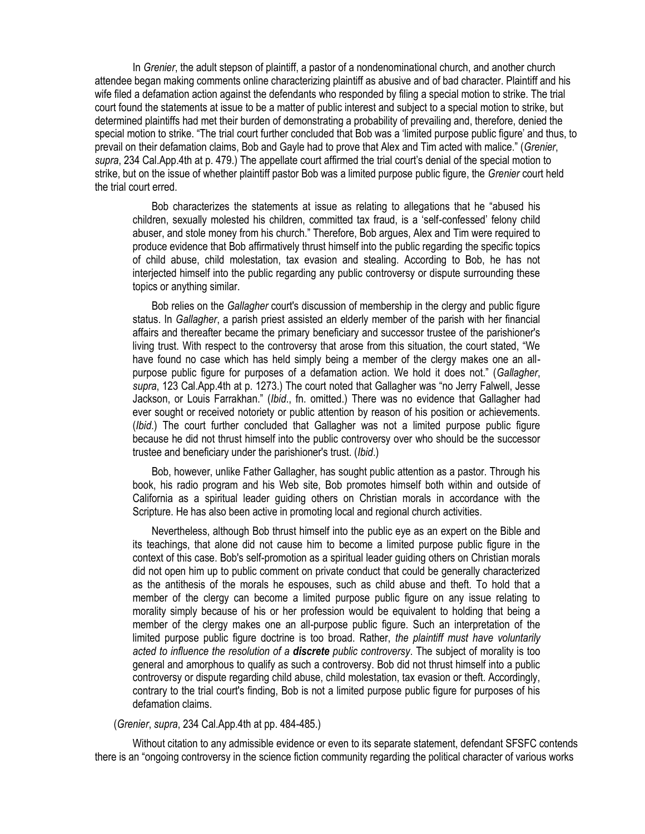In *Grenier*, the adult stepson of plaintiff, a pastor of a nondenominational church, and another church attendee began making comments online characterizing plaintiff as abusive and of bad character. Plaintiff and his wife filed a defamation action against the defendants who responded by filing a special motion to strike. The trial court found the statements at issue to be a matter of public interest and subject to a special motion to strike, but determined plaintiffs had met their burden of demonstrating a probability of prevailing and, therefore, denied the special motion to strike. "The trial court further concluded that Bob was a 'limited purpose public figure' and thus, to prevail on their defamation claims, Bob and Gayle had to prove that Alex and Tim acted with malice." (*Grenier*, *supra*, 234 Cal.App.4th at p. 479.) The appellate court affirmed the trial court's denial of the special motion to strike, but on the issue of whether plaintiff pastor Bob was a limited purpose public figure, the *Grenier* court held the trial court erred.

Bob characterizes the statements at issue as relating to allegations that he "abused his children, sexually molested his children, committed tax fraud, is a 'self-confessed' felony child abuser, and stole money from his church." Therefore, Bob argues, Alex and Tim were required to produce evidence that Bob affirmatively thrust himself into the public regarding the specific topics of child abuse, child molestation, tax evasion and stealing. According to Bob, he has not interjected himself into the public regarding any public controversy or dispute surrounding these topics or anything similar.

Bob relies on the *Gallagher* court's discussion of membership in the clergy and public figure status. In *Gallagher*, a parish priest assisted an elderly member of the parish with her financial affairs and thereafter became the primary beneficiary and successor trustee of the parishioner's living trust. With respect to the controversy that arose from this situation, the court stated, "We have found no case which has held simply being a member of the clergy makes one an allpurpose public figure for purposes of a defamation action. We hold it does not." (*Gallagher*, *supra*, 123 Cal.App.4th at p. 1273.) The court noted that Gallagher was "no Jerry Falwell, Jesse Jackson, or Louis Farrakhan." (*Ibid*., fn. omitted.) There was no evidence that Gallagher had ever sought or received notoriety or public attention by reason of his position or achievements. (*Ibid*.) The court further concluded that Gallagher was not a limited purpose public figure because he did not thrust himself into the public controversy over who should be the successor trustee and beneficiary under the parishioner's trust. (*Ibid*.)

Bob, however, unlike Father Gallagher, has sought public attention as a pastor. Through his book, his radio program and his Web site, Bob promotes himself both within and outside of California as a spiritual leader guiding others on Christian morals in accordance with the Scripture. He has also been active in promoting local and regional church activities.

Nevertheless, although Bob thrust himself into the public eye as an expert on the Bible and its teachings, that alone did not cause him to become a limited purpose public figure in the context of this case. Bob's self-promotion as a spiritual leader guiding others on Christian morals did not open him up to public comment on private conduct that could be generally characterized as the antithesis of the morals he espouses, such as child abuse and theft. To hold that a member of the clergy can become a limited purpose public figure on any issue relating to morality simply because of his or her profession would be equivalent to holding that being a member of the clergy makes one an all-purpose public figure. Such an interpretation of the limited purpose public figure doctrine is too broad. Rather, *the plaintiff must have voluntarily acted to influence the resolution of a discrete public controversy*. The subject of morality is too general and amorphous to qualify as such a controversy. Bob did not thrust himself into a public controversy or dispute regarding child abuse, child molestation, tax evasion or theft. Accordingly, contrary to the trial court's finding, Bob is not a limited purpose public figure for purposes of his defamation claims.

(*Grenier*, *supra*, 234 Cal.App.4th at pp. 484-485.)

Without citation to any admissible evidence or even to its separate statement, defendant SFSFC contends there is an "ongoing controversy in the science fiction community regarding the political character of various works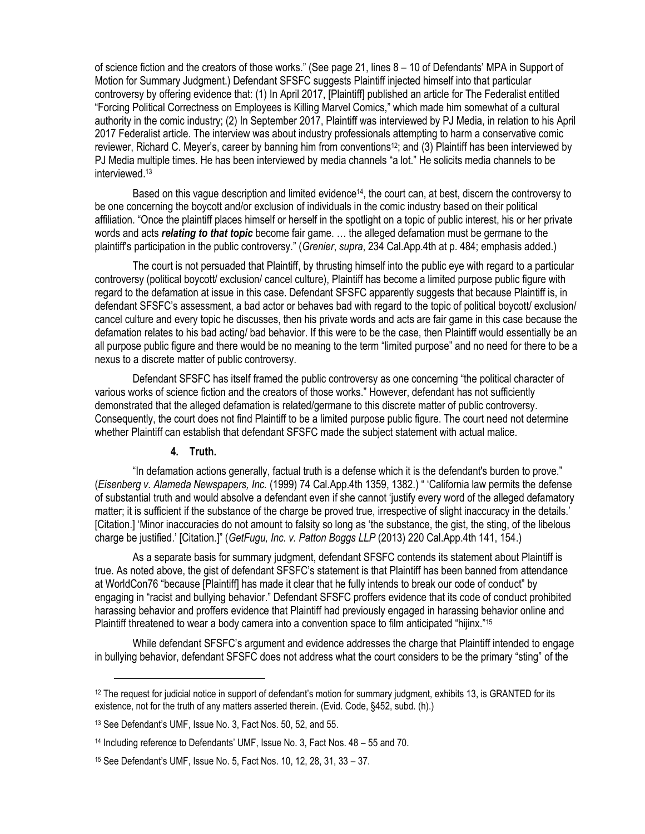of science fiction and the creators of those works." (See page 21, lines 8 – 10 of Defendants' MPA in Support of Motion for Summary Judgment.) Defendant SFSFC suggests Plaintiff injected himself into that particular controversy by offering evidence that: (1) In April 2017, [Plaintiff] published an article for The Federalist entitled "Forcing Political Correctness on Employees is Killing Marvel Comics," which made him somewhat of a cultural authority in the comic industry; (2) In September 2017, Plaintiff was interviewed by PJ Media, in relation to his April 2017 Federalist article. The interview was about industry professionals attempting to harm a conservative comic reviewer, Richard C. Meyer's, career by banning him from conventions<sup>12</sup>; and (3) Plaintiff has been interviewed by PJ Media multiple times. He has been interviewed by media channels "a lot." He solicits media channels to be interviewed.<sup>13</sup>

Based on this vague description and limited evidence14, the court can, at best, discern the controversy to be one concerning the boycott and/or exclusion of individuals in the comic industry based on their political affiliation. "Once the plaintiff places himself or herself in the spotlight on a topic of public interest, his or her private words and acts *relating to that topic* become fair game. … the alleged defamation must be germane to the plaintiff's participation in the public controversy." (*Grenier*, *supra*, 234 Cal.App.4th at p. 484; emphasis added.)

The court is not persuaded that Plaintiff, by thrusting himself into the public eye with regard to a particular controversy (political boycott/ exclusion/ cancel culture), Plaintiff has become a limited purpose public figure with regard to the defamation at issue in this case. Defendant SFSFC apparently suggests that because Plaintiff is, in defendant SFSFC's assessment, a bad actor or behaves bad with regard to the topic of political boycott/ exclusion/ cancel culture and every topic he discusses, then his private words and acts are fair game in this case because the defamation relates to his bad acting/ bad behavior. If this were to be the case, then Plaintiff would essentially be an all purpose public figure and there would be no meaning to the term "limited purpose" and no need for there to be a nexus to a discrete matter of public controversy.

Defendant SFSFC has itself framed the public controversy as one concerning "the political character of various works of science fiction and the creators of those works." However, defendant has not sufficiently demonstrated that the alleged defamation is related/germane to this discrete matter of public controversy. Consequently, the court does not find Plaintiff to be a limited purpose public figure. The court need not determine whether Plaintiff can establish that defendant SFSFC made the subject statement with actual malice.

#### **4. Truth.**

"In defamation actions generally, factual truth is a defense which it is the defendant's burden to prove." (*Eisenberg v. Alameda Newspapers, Inc.* (1999) 74 Cal.App.4th 1359, 1382.) " 'California law permits the defense of substantial truth and would absolve a defendant even if she cannot 'justify every word of the alleged defamatory matter; it is sufficient if the substance of the charge be proved true, irrespective of slight inaccuracy in the details.' [Citation.] 'Minor inaccuracies do not amount to falsity so long as 'the substance, the gist, the sting, of the libelous charge be justified.' [Citation.]" (*GetFugu, Inc. v. Patton Boggs LLP* (2013) 220 Cal.App.4th 141, 154.)

As a separate basis for summary judgment, defendant SFSFC contends its statement about Plaintiff is true. As noted above, the gist of defendant SFSFC's statement is that Plaintiff has been banned from attendance at WorldCon76 "because [Plaintiff] has made it clear that he fully intends to break our code of conduct" by engaging in "racist and bullying behavior." Defendant SFSFC proffers evidence that its code of conduct prohibited harassing behavior and proffers evidence that Plaintiff had previously engaged in harassing behavior online and Plaintiff threatened to wear a body camera into a convention space to film anticipated "hijinx."<sup>15</sup>

While defendant SFSFC's argument and evidence addresses the charge that Plaintiff intended to engage in bullying behavior, defendant SFSFC does not address what the court considers to be the primary "sting" of the

 $\overline{a}$ 

<sup>&</sup>lt;sup>12</sup> The request for judicial notice in support of defendant's motion for summary judgment, exhibits 13, is GRANTED for its existence, not for the truth of any matters asserted therein. (Evid. Code, §452, subd. (h).)

<sup>13</sup> See Defendant's UMF, Issue No. 3, Fact Nos. 50, 52, and 55.

<sup>14</sup> Including reference to Defendants' UMF, Issue No. 3, Fact Nos. 48 – 55 and 70.

<sup>15</sup> See Defendant's UMF, Issue No. 5, Fact Nos. 10, 12, 28, 31, 33 – 37.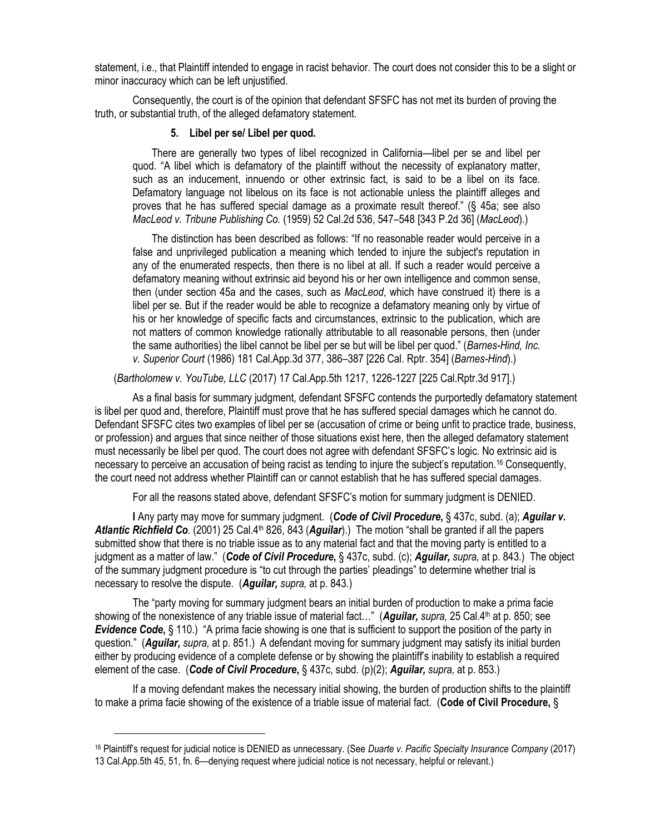statement, i.e., that Plaintiff intended to engage in racist behavior. The court does not consider this to be a slight or minor inaccuracy which can be left unjustified.

Consequently, the court is of the opinion that defendant SFSFC has not met its burden of proving the truth, or substantial truth, of the alleged defamatory statement.

#### **5. Libel per se/ Libel per quod.**

There are generally two types of libel recognized in California—libel per se and libel per quod. "A libel which is defamatory of the plaintiff without the necessity of explanatory matter, such as an inducement, innuendo or other extrinsic fact, is said to be a libel on its face. Defamatory language not libelous on its face is not actionable unless the plaintiff alleges and proves that he has suffered special damage as a proximate result thereof." (§ 45a; see also *MacLeod v. Tribune Publishing Co.* (1959) 52 Cal.2d 536, 547–548 [343 P.2d 36] (*MacLeod*).)

The distinction has been described as follows: "If no reasonable reader would perceive in a false and unprivileged publication a meaning which tended to injure the subject's reputation in any of the enumerated respects, then there is no libel at all. If such a reader would perceive a defamatory meaning without extrinsic aid beyond his or her own intelligence and common sense, then (under section 45a and the cases, such as *MacLeod*, which have construed it) there is a libel per se. But if the reader would be able to recognize a defamatory meaning only by virtue of his or her knowledge of specific facts and circumstances, extrinsic to the publication, which are not matters of common knowledge rationally attributable to all reasonable persons, then (under the same authorities) the libel cannot be libel per se but will be libel per quod." (*Barnes-Hind, Inc. v. Superior Court* (1986) 181 Cal.App.3d 377, 386–387 [226 Cal. Rptr. 354] (*Barnes-Hind*).)

#### (*Bartholomew v. YouTube, LLC* (2017) 17 Cal.App.5th 1217, 1226-1227 [225 Cal.Rptr.3d 917].)

As a final basis for summary judgment, defendant SFSFC contends the purportedly defamatory statement is libel per quod and, therefore, Plaintiff must prove that he has suffered special damages which he cannot do. Defendant SFSFC cites two examples of libel per se (accusation of crime or being unfit to practice trade, business, or profession) and argues that since neither of those situations exist here, then the alleged defamatory statement must necessarily be libel per quod. The court does not agree with defendant SFSFC's logic. No extrinsic aid is necessary to perceive an accusation of being racist as tending to injure the subject's reputation.<sup>16</sup> Consequently, the court need not address whether Plaintiff can or cannot establish that he has suffered special damages.

For all the reasons stated above, defendant SFSFC's motion for summary judgment is DENIED.

**I** Any party may move for summary judgment. (*Code of Civil Procedure***,** § 437c, subd. (a); *Aguilar v. Atlantic Richfield Co.* (2001) 25 Cal.4th 826, 843 (*Aguilar*).) The motion "shall be granted if all the papers submitted show that there is no triable issue as to any material fact and that the moving party is entitled to a judgment as a matter of law." (*Code of Civil Procedure***,** § 437c, subd. (c); *Aguilar, supra,* at p. 843.) The object of the summary judgment procedure is "to cut through the parties' pleadings" to determine whether trial is necessary to resolve the dispute. (*Aguilar, supra,* at p. 843.)

The "party moving for summary judgment bears an initial burden of production to make a prima facie showing of the nonexistence of any triable issue of material fact…" (*Aguilar, supra,* 25 Cal.4th at p. 850; see *Evidence Code***,** § 110.) "A prima facie showing is one that is sufficient to support the position of the party in question." (*Aguilar, supra,* at p. 851.) A defendant moving for summary judgment may satisfy its initial burden either by producing evidence of a complete defense or by showing the plaintiff's inability to establish a required element of the case. (*Code of Civil Procedure***,** § 437c, subd. (p)(2); *Aguilar, supra,* at p. 853.)

If a moving defendant makes the necessary initial showing, the burden of production shifts to the plaintiff to make a prima facie showing of the existence of a triable issue of material fact. (**Code of Civil Procedure,** §

 $\overline{a}$ 

<sup>16</sup> Plaintiff's request for judicial notice is DENIED as unnecessary. (See *Duarte v. Pacific Specialty Insurance Company* (2017) 13 Cal.App.5th 45, 51, fn. 6—denying request where judicial notice is not necessary, helpful or relevant.)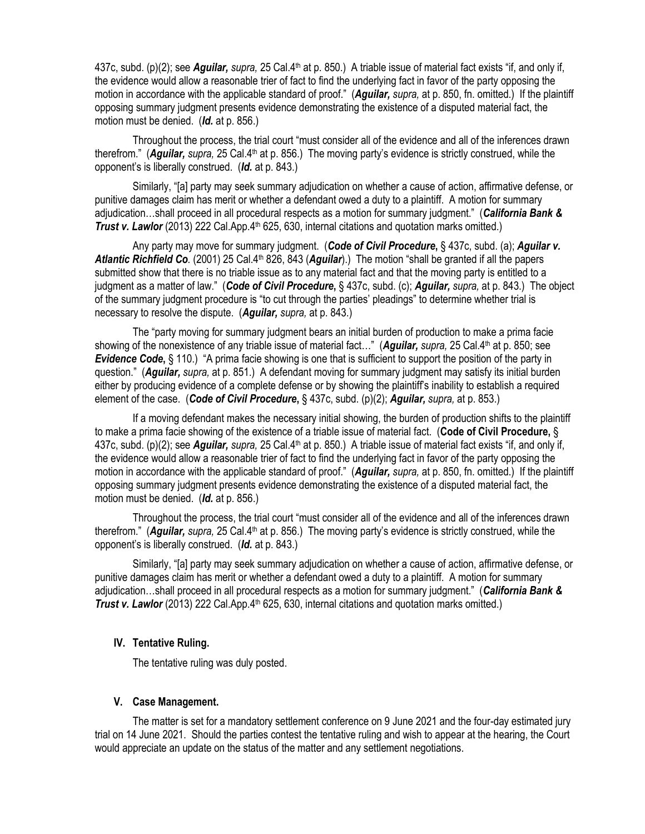437c, subd. (p)(2); see *Aguilar, supra,* 25 Cal.4th at p. 850.) A triable issue of material fact exists "if, and only if, the evidence would allow a reasonable trier of fact to find the underlying fact in favor of the party opposing the motion in accordance with the applicable standard of proof." (*Aguilar, supra,* at p. 850, fn. omitted.) If the plaintiff opposing summary judgment presents evidence demonstrating the existence of a disputed material fact, the motion must be denied. (*Id.* at p. 856.)

Throughout the process, the trial court "must consider all of the evidence and all of the inferences drawn therefrom." (**Aguilar,** *supra*, 25 Cal.4<sup>th</sup> at p. 856.) The moving party's evidence is strictly construed, while the opponent's is liberally construed. (*Id.* at p. 843.)

Similarly, "[a] party may seek summary adjudication on whether a cause of action, affirmative defense, or punitive damages claim has merit or whether a defendant owed a duty to a plaintiff. A motion for summary adjudication…shall proceed in all procedural respects as a motion for summary judgment." (*California Bank &*  **Trust v. Lawlor** (2013) 222 Cal.App.4<sup>th</sup> 625, 630, internal citations and quotation marks omitted.)

Any party may move for summary judgment. (*Code of Civil Procedure***,** § 437c, subd. (a); *Aguilar v. Atlantic Richfield Co.* (2001) 25 Cal.4th 826, 843 (*Aguilar*).) The motion "shall be granted if all the papers submitted show that there is no triable issue as to any material fact and that the moving party is entitled to a judgment as a matter of law." (*Code of Civil Procedure***,** § 437c, subd. (c); *Aguilar, supra,* at p. 843.) The object of the summary judgment procedure is "to cut through the parties' pleadings" to determine whether trial is necessary to resolve the dispute. (*Aguilar, supra,* at p. 843.)

The "party moving for summary judgment bears an initial burden of production to make a prima facie showing of the nonexistence of any triable issue of material fact..." (**Aguilar**, *supra*, 25 Cal.4<sup>th</sup> at p. 850; see *Evidence Code***,** § 110.) "A prima facie showing is one that is sufficient to support the position of the party in question." (*Aguilar, supra,* at p. 851.) A defendant moving for summary judgment may satisfy its initial burden either by producing evidence of a complete defense or by showing the plaintiff's inability to establish a required element of the case. (*Code of Civil Procedure***,** § 437c, subd. (p)(2); *Aguilar, supra,* at p. 853.)

If a moving defendant makes the necessary initial showing, the burden of production shifts to the plaintiff to make a prima facie showing of the existence of a triable issue of material fact. (**Code of Civil Procedure,** § 437c, subd. (p)(2); see *Aguilar, supra,* 25 Cal.4th at p. 850.) A triable issue of material fact exists "if, and only if, the evidence would allow a reasonable trier of fact to find the underlying fact in favor of the party opposing the motion in accordance with the applicable standard of proof." (*Aguilar, supra,* at p. 850, fn. omitted.) If the plaintiff opposing summary judgment presents evidence demonstrating the existence of a disputed material fact, the motion must be denied. (*Id.* at p. 856.)

Throughout the process, the trial court "must consider all of the evidence and all of the inferences drawn therefrom." (**Aguilar,** *supra,* 25 Cal.4<sup>th</sup> at p. 856.) The moving party's evidence is strictly construed, while the opponent's is liberally construed. (*Id.* at p. 843.)

Similarly, "[a] party may seek summary adjudication on whether a cause of action, affirmative defense, or punitive damages claim has merit or whether a defendant owed a duty to a plaintiff. A motion for summary adjudication…shall proceed in all procedural respects as a motion for summary judgment." (*California Bank & Trust v. Lawlor* (2013) 222 Cal.App.4<sup>th</sup> 625, 630, internal citations and quotation marks omitted.)

#### **IV. Tentative Ruling.**

The tentative ruling was duly posted.

#### **V. Case Management.**

The matter is set for a mandatory settlement conference on 9 June 2021 and the four-day estimated jury trial on 14 June 2021. Should the parties contest the tentative ruling and wish to appear at the hearing, the Court would appreciate an update on the status of the matter and any settlement negotiations.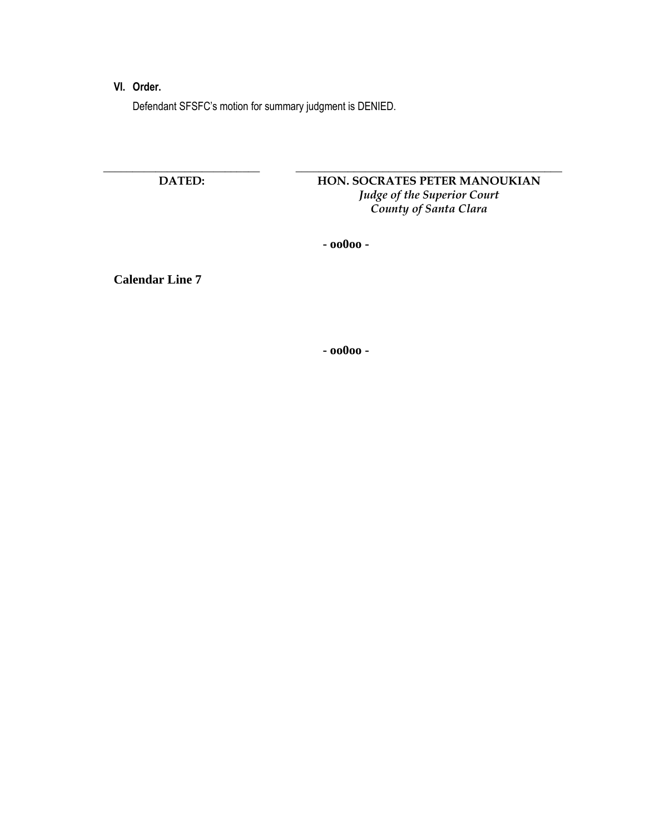## **VI. Order.**

Defendant SFSFC's motion for summary judgment is DENIED.

**\_\_\_\_\_\_\_\_\_\_\_\_\_\_\_\_\_\_\_\_\_\_\_\_\_\_\_ DATED:**

# **HON. SOCRATES PETER MANOUKIAN** *Judge of the Superior Court County of Santa Clara*

**\_\_\_\_\_\_\_\_\_\_\_\_\_\_\_\_\_\_\_\_\_\_\_\_\_\_\_\_\_\_\_\_\_\_\_\_\_\_\_\_\_\_\_\_\_\_**

**- [oo0oo -](#page-0-0)**

<span id="page-31-0"></span>**Calendar Line 7**

**- [oo0oo -](#page-0-0)**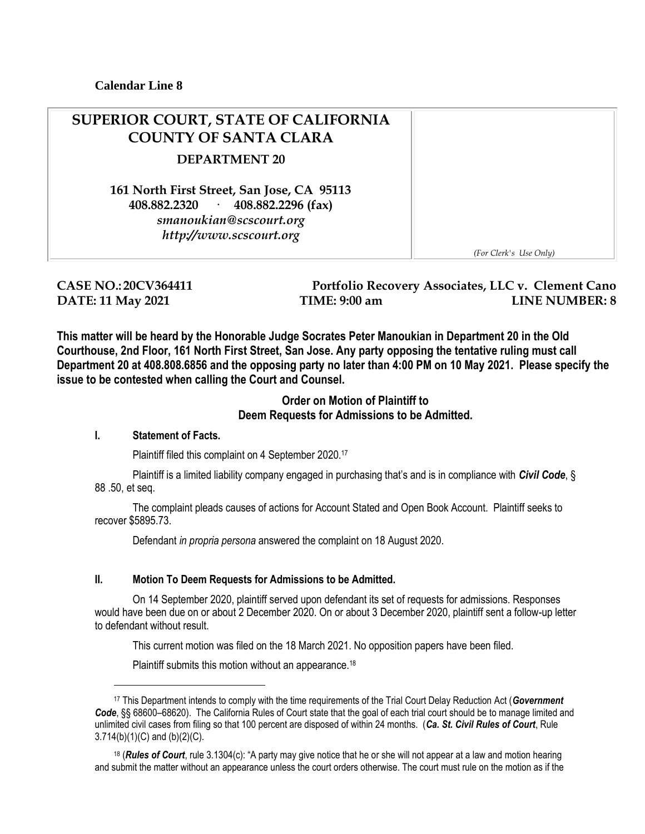### <span id="page-32-0"></span>**Calendar Line 8**

# **SUPERIOR COURT, STATE OF CALIFORNIA COUNTY OF SANTA CLARA DEPARTMENT 20**

**161 North First Street, San Jose, CA 95113 408.882.2320 · 408.882.2296 (fax)** *smanoukian@scscourt.org http://www.scscourt.org*

*(For Clerk's Use Only)*

**CASE NO.: 20CV364411 Portfolio Recovery Associates, LLC v. Clement Cano DATE: 11 May 2021 TIME: 9:00 am LINE NUMBER: 8**

**This matter will be heard by the Honorable Judge Socrates Peter Manoukian in Department 20 in the Old Courthouse, 2nd Floor, 161 North First Street, San Jose. Any party opposing the tentative ruling must call Department 20 at 408.808.6856 and the opposing party no later than 4:00 PM on 10 May 2021. Please specify the issue to be contested when calling the Court and Counsel.**

# **Order on Motion of Plaintiff to Deem Requests for Admissions to be Admitted.**

#### **I. Statement of Facts.**

 $\overline{a}$ 

Plaintiff filed this complaint on 4 September 2020.<sup>17</sup>

Plaintiff is a limited liability company engaged in purchasing that's and is in compliance with *Civil Code*, § 88 .50, et seq.

The complaint pleads causes of actions for Account Stated and Open Book Account. Plaintiff seeks to recover \$5895.73.

Defendant *in propria persona* answered the complaint on 18 August 2020.

#### **II. Motion To Deem Requests for Admissions to be Admitted.**

On 14 September 2020, plaintiff served upon defendant its set of requests for admissions. Responses would have been due on or about 2 December 2020. On or about 3 December 2020, plaintiff sent a follow-up letter to defendant without result.

This current motion was filed on the 18 March 2021. No opposition papers have been filed.

Plaintiff submits this motion without an appearance.<sup>18</sup>

<sup>17</sup> This Department intends to comply with the time requirements of the Trial Court Delay Reduction Act (*Government Code*, §§ 68600–68620). The California Rules of Court state that the goal of each trial court should be to manage limited and unlimited civil cases from filing so that 100 percent are disposed of within 24 months. (*Ca. St. Civil Rules of Court*, Rule 3.714(b)(1)(C) and (b)(2)(C).

<sup>18</sup> (*Rules of Court*, rule 3.1304(c): "A party may give notice that he or she will not appear at a law and motion hearing and submit the matter without an appearance unless the court orders otherwise. The court must rule on the motion as if the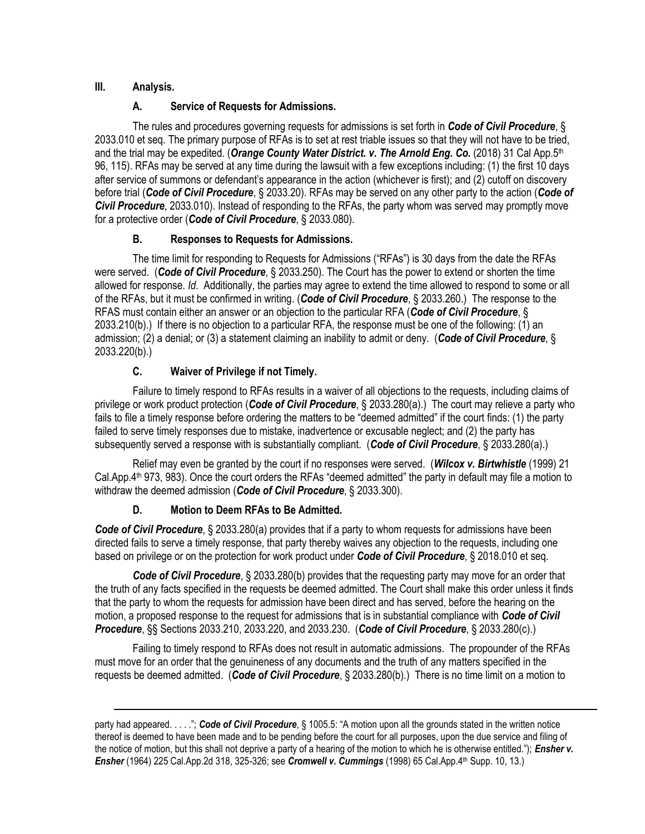# **III. Analysis.**

 $\overline{a}$ 

# **A. Service of Requests for Admissions.**

The rules and procedures governing requests for admissions is set forth in *Code of Civil Procedure*, § 2033.010 et seq. The primary purpose of RFAs is to set at rest triable issues so that they will not have to be tried, and the trial may be expedited. (*Orange County Water District. v. The Arnold Eng. Co.* (2018) 31 Cal App.5<sup>th</sup> 96, 115). RFAs may be served at any time during the lawsuit with a few exceptions including: (1) the first 10 days after service of summons or defendant's appearance in the action (whichever is first); and (2) cutoff on discovery before trial (*Code of Civil Procedure*, § 2033.20). RFAs may be served on any other party to the action (*Code of Civil Procedure*, 2033.010). Instead of responding to the RFAs, the party whom was served may promptly move for a protective order (*Code of Civil Procedure*, § 2033.080).

# **B. Responses to Requests for Admissions.**

The time limit for responding to Requests for Admissions ("RFAs") is 30 days from the date the RFAs were served. (*Code of Civil Procedure*, § 2033.250). The Court has the power to extend or shorten the time allowed for response. *Id*. Additionally, the parties may agree to extend the time allowed to respond to some or all of the RFAs, but it must be confirmed in writing. (*Code of Civil Procedure*, § 2033.260.) The response to the RFAS must contain either an answer or an objection to the particular RFA (*Code of Civil Procedure*, § 2033.210(b).) If there is no objection to a particular RFA, the response must be one of the following: (1) an admission; (2) a denial; or (3) a statement claiming an inability to admit or deny. (*Code of Civil Procedure*, § 2033.220(b).)

# **C. Waiver of Privilege if not Timely.**

Failure to timely respond to RFAs results in a waiver of all objections to the requests, including claims of privilege or work product protection (*Code of Civil Procedure*, § 2033.280(a).) The court may relieve a party who fails to file a timely response before ordering the matters to be "deemed admitted" if the court finds: (1) the party failed to serve timely responses due to mistake, inadvertence or excusable neglect; and (2) the party has subsequently served a response with is substantially compliant. (*Code of Civil Procedure*, § 2033.280(a).)

Relief may even be granted by the court if no responses were served. (*Wilcox v. Birtwhistle* (1999) 21 Cal.App.4<sup>th</sup> 973, 983). Once the court orders the RFAs "deemed admitted" the party in default may file a motion to withdraw the deemed admission (*Code of Civil Procedure*, § 2033.300).

# **D. Motion to Deem RFAs to Be Admitted.**

*Code of Civil Procedure*, § 2033.280(a) provides that if a party to whom requests for admissions have been directed fails to serve a timely response, that party thereby waives any objection to the requests, including one based on privilege or on the protection for work product under *Code of Civil Procedure*, § 2018.010 et seq.

*Code of Civil Procedure*, § 2033.280(b) provides that the requesting party may move for an order that the truth of any facts specified in the requests be deemed admitted. The Court shall make this order unless it finds that the party to whom the requests for admission have been direct and has served, before the hearing on the motion, a proposed response to the request for admissions that is in substantial compliance with *Code of Civil Procedure*, §§ Sections 2033.210, 2033.220, and 2033.230. (*Code of Civil Procedure*, § 2033.280(c).)

Failing to timely respond to RFAs does not result in automatic admissions. The propounder of the RFAs must move for an order that the genuineness of any documents and the truth of any matters specified in the requests be deemed admitted. (*Code of Civil Procedure*, § 2033.280(b).) There is no time limit on a motion to

party had appeared. . . . ."; Code of Civil Procedure, § 1005.5: "A motion upon all the grounds stated in the written notice thereof is deemed to have been made and to be pending before the court for all purposes, upon the due service and filing of the notice of motion, but this shall not deprive a party of a hearing of the motion to which he is otherwise entitled."); *Ensher v. Ensher* (1964) 225 Cal.App.2d 318, 325-326; see *Cromwell v. Cummings* (1998) 65 Cal.App.4th Supp. 10, 13.)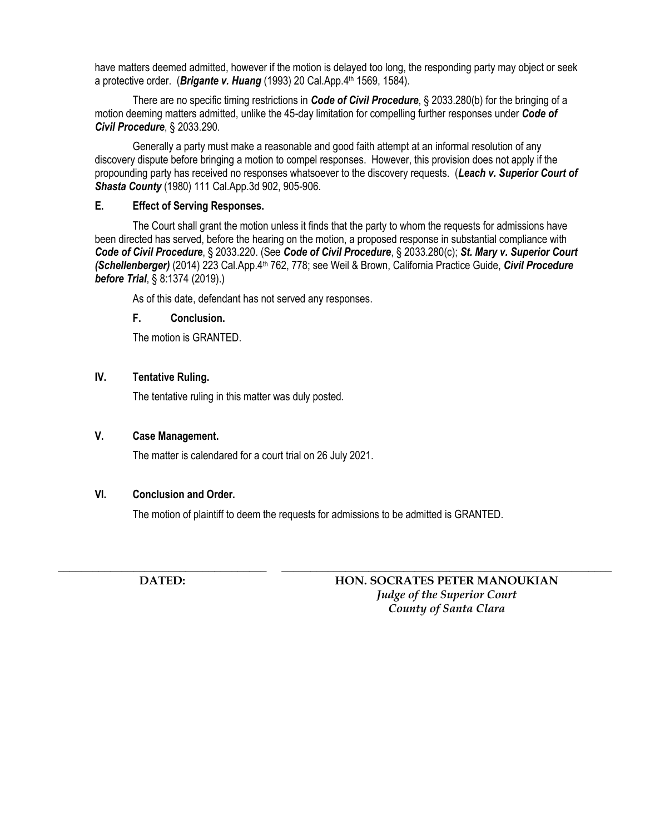have matters deemed admitted, however if the motion is delayed too long, the responding party may object or seek a protective order. (*Brigante v. Huang* (1993) 20 Cal.App.4th 1569, 1584).

There are no specific timing restrictions in *Code of Civil Procedure*, § 2033.280(b) for the bringing of a motion deeming matters admitted, unlike the 45-day limitation for compelling further responses under *Code of Civil Procedure*, § 2033.290.

Generally a party must make a reasonable and good faith attempt at an informal resolution of any discovery dispute before bringing a motion to compel responses. However, this provision does not apply if the propounding party has received no responses whatsoever to the discovery requests. (*Leach v. Superior Court of Shasta County* (1980) 111 Cal.App.3d 902, 905-906.

## **E. Effect of Serving Responses.**

The Court shall grant the motion unless it finds that the party to whom the requests for admissions have been directed has served, before the hearing on the motion, a proposed response in substantial compliance with *Code of Civil Procedure*, § 2033.220. (See *Code of Civil Procedure*, § 2033.280(c); *St. Mary v. Superior Court (Schellenberger)* (2014) 223 Cal.App.4th 762, 778; see Weil & Brown, California Practice Guide, *Civil Procedure before Trial*, § 8:1374 (2019).)

As of this date, defendant has not served any responses.

# **F. Conclusion.**

The motion is GRANTED.

# **IV. Tentative Ruling.**

The tentative ruling in this matter was duly posted.

# **V. Case Management.**

The matter is calendared for a court trial on 26 July 2021.

# **VI. Conclusion and Order.**

The motion of plaintiff to deem the requests for admissions to be admitted is GRANTED.

**\_\_\_\_\_\_\_\_\_\_\_\_\_\_\_\_\_\_\_\_\_\_\_\_\_\_\_\_\_\_\_\_\_\_\_\_ DATED:**

**\_\_\_\_\_\_\_\_\_\_\_\_\_\_\_\_\_\_\_\_\_\_\_\_\_\_\_\_\_\_\_\_\_\_\_\_\_\_\_\_\_\_\_\_\_\_\_\_\_\_\_\_\_\_\_\_\_ HON. SOCRATES PETER MANOUKIAN** *Judge of the Superior Court County of Santa Clara*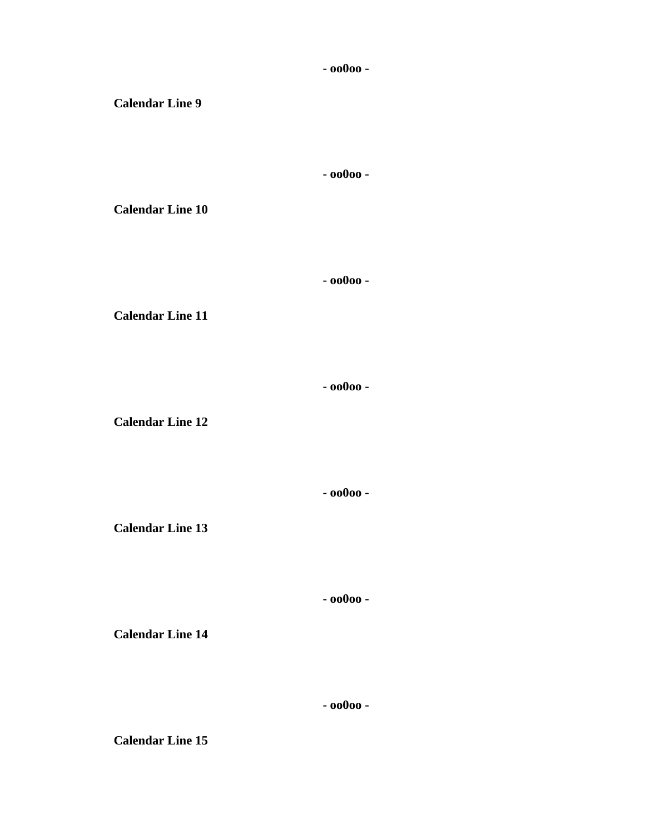**- [oo0oo -](#page-0-0)**

<span id="page-35-0"></span>**Calendar Line 9**

**- [oo0oo -](#page-0-0)**

<span id="page-35-1"></span>**Calendar Line 10**

**- [oo0oo -](#page-0-0)**

<span id="page-35-2"></span>**Calendar Line 11**

**- [oo0oo -](#page-0-0)**

<span id="page-35-3"></span>**Calendar Line 12**

**- [oo0oo -](#page-0-0)**

<span id="page-35-4"></span>**Calendar Line 13**

**- [oo0oo -](#page-0-0)**

<span id="page-35-5"></span>**Calendar Line 14**

**- [oo0oo -](#page-0-0)**

<span id="page-35-6"></span>**Calendar Line 15**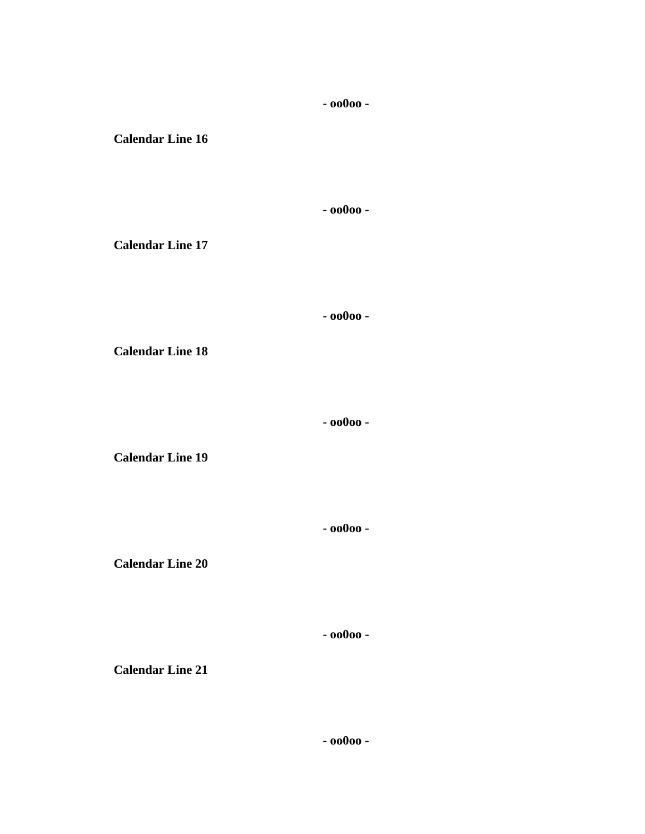<span id="page-36-0"></span>**Calendar Line 16**

**- [oo0oo -](#page-0-0)**

**- [oo0oo -](#page-0-0)**

<span id="page-36-1"></span>**Calendar Line 17**

**- [oo0oo -](#page-0-0)**

<span id="page-36-2"></span>**Calendar Line 18**

**- [oo0oo -](#page-0-0)**

<span id="page-36-3"></span>**Calendar Line 19**

**- [oo0oo -](#page-0-0)**

<span id="page-36-4"></span>**Calendar Line 20**

**- [oo0oo -](#page-0-0)**

<span id="page-36-5"></span>**Calendar Line 21**

**- [oo0oo -](#page-0-0)**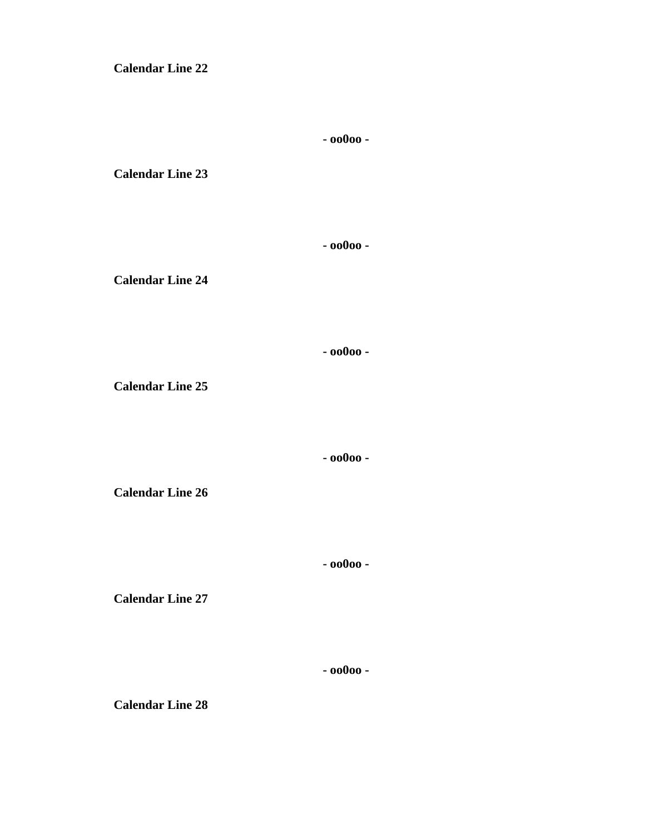<span id="page-37-0"></span>**Calendar Line 22**

**- [oo0oo -](#page-0-0)**

<span id="page-37-1"></span>**Calendar Line 23**

**- [oo0oo -](#page-0-0)**

<span id="page-37-2"></span>**Calendar Line 24**

**- [oo0oo -](#page-0-0)**

<span id="page-37-3"></span>**Calendar Line 25**

**- [oo0oo -](#page-0-0)**

<span id="page-37-4"></span>**Calendar Line 26**

**- [oo0oo -](#page-0-0)**

<span id="page-37-5"></span>**Calendar Line 27**

**- [oo0oo -](#page-0-0)**

<span id="page-37-6"></span>**Calendar Line 28**